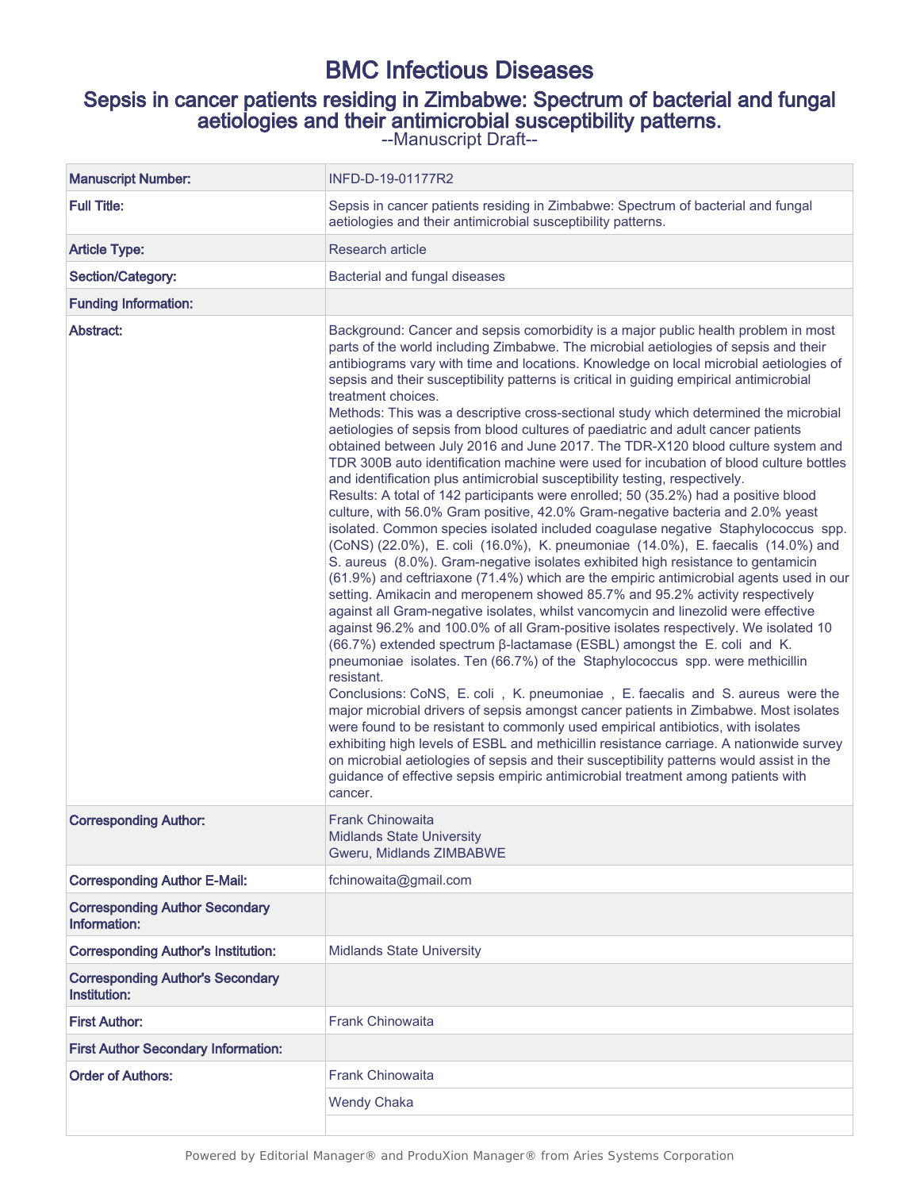# BMC Infectious Diseases

# Sepsis in cancer patients residing in Zimbabwe: Spectrum of bacterial and fungal aetiologies and their antimicrobial susceptibility patterns.

--Manuscript Draft--

| <b>Manuscript Number:</b>                               | INFD-D-19-01177R2                                                                                                                                                                                                                                                                                                                                                                                                                                                                                                                                                                                                                                                                                                                                                                                                                                                                                                                                                                                                                                                                                                                                                                                                                                                                                                                                                                                                                                                                                                                                                                                                                                                                                                                                                                                                                                                                                                                                                                                                                                                                                                                                                                                                                                                                                                                                      |
|---------------------------------------------------------|--------------------------------------------------------------------------------------------------------------------------------------------------------------------------------------------------------------------------------------------------------------------------------------------------------------------------------------------------------------------------------------------------------------------------------------------------------------------------------------------------------------------------------------------------------------------------------------------------------------------------------------------------------------------------------------------------------------------------------------------------------------------------------------------------------------------------------------------------------------------------------------------------------------------------------------------------------------------------------------------------------------------------------------------------------------------------------------------------------------------------------------------------------------------------------------------------------------------------------------------------------------------------------------------------------------------------------------------------------------------------------------------------------------------------------------------------------------------------------------------------------------------------------------------------------------------------------------------------------------------------------------------------------------------------------------------------------------------------------------------------------------------------------------------------------------------------------------------------------------------------------------------------------------------------------------------------------------------------------------------------------------------------------------------------------------------------------------------------------------------------------------------------------------------------------------------------------------------------------------------------------------------------------------------------------------------------------------------------------|
| <b>Full Title:</b>                                      | Sepsis in cancer patients residing in Zimbabwe: Spectrum of bacterial and fungal<br>aetiologies and their antimicrobial susceptibility patterns.                                                                                                                                                                                                                                                                                                                                                                                                                                                                                                                                                                                                                                                                                                                                                                                                                                                                                                                                                                                                                                                                                                                                                                                                                                                                                                                                                                                                                                                                                                                                                                                                                                                                                                                                                                                                                                                                                                                                                                                                                                                                                                                                                                                                       |
| <b>Article Type:</b>                                    | Research article                                                                                                                                                                                                                                                                                                                                                                                                                                                                                                                                                                                                                                                                                                                                                                                                                                                                                                                                                                                                                                                                                                                                                                                                                                                                                                                                                                                                                                                                                                                                                                                                                                                                                                                                                                                                                                                                                                                                                                                                                                                                                                                                                                                                                                                                                                                                       |
| Section/Category:                                       | Bacterial and fungal diseases                                                                                                                                                                                                                                                                                                                                                                                                                                                                                                                                                                                                                                                                                                                                                                                                                                                                                                                                                                                                                                                                                                                                                                                                                                                                                                                                                                                                                                                                                                                                                                                                                                                                                                                                                                                                                                                                                                                                                                                                                                                                                                                                                                                                                                                                                                                          |
| <b>Funding Information:</b>                             |                                                                                                                                                                                                                                                                                                                                                                                                                                                                                                                                                                                                                                                                                                                                                                                                                                                                                                                                                                                                                                                                                                                                                                                                                                                                                                                                                                                                                                                                                                                                                                                                                                                                                                                                                                                                                                                                                                                                                                                                                                                                                                                                                                                                                                                                                                                                                        |
| Abstract:                                               | Background: Cancer and sepsis comorbidity is a major public health problem in most<br>parts of the world including Zimbabwe. The microbial aetiologies of sepsis and their<br>antibiograms vary with time and locations. Knowledge on local microbial aetiologies of<br>sepsis and their susceptibility patterns is critical in guiding empirical antimicrobial<br>treatment choices.<br>Methods: This was a descriptive cross-sectional study which determined the microbial<br>aetiologies of sepsis from blood cultures of paediatric and adult cancer patients<br>obtained between July 2016 and June 2017. The TDR-X120 blood culture system and<br>TDR 300B auto identification machine were used for incubation of blood culture bottles<br>and identification plus antimicrobial susceptibility testing, respectively.<br>Results: A total of 142 participants were enrolled; 50 (35.2%) had a positive blood<br>culture, with 56.0% Gram positive, 42.0% Gram-negative bacteria and 2.0% yeast<br>isolated. Common species isolated included coagulase negative Staphylococcus spp.<br>(CoNS) (22.0%), E. coli (16.0%), K. pneumoniae (14.0%), E. faecalis (14.0%) and<br>S. aureus (8.0%). Gram-negative isolates exhibited high resistance to gentamicin<br>(61.9%) and ceftriaxone (71.4%) which are the empiric antimicrobial agents used in our<br>setting. Amikacin and meropenem showed 85.7% and 95.2% activity respectively<br>against all Gram-negative isolates, whilst vancomycin and linezolid were effective<br>against 96.2% and 100.0% of all Gram-positive isolates respectively. We isolated 10<br>(66.7%) extended spectrum β-lactamase (ESBL) amongst the E. coli and K.<br>pneumoniae isolates. Ten (66.7%) of the Staphylococcus spp. were methicillin<br>resistant.<br>Conclusions: CoNS, E. coli, K. pneumoniae, E. faecalis and S. aureus were the<br>major microbial drivers of sepsis amongst cancer patients in Zimbabwe. Most isolates<br>were found to be resistant to commonly used empirical antibiotics, with isolates<br>exhibiting high levels of ESBL and methicillin resistance carriage. A nationwide survey<br>on microbial aetiologies of sepsis and their susceptibility patterns would assist in the<br>guidance of effective sepsis empiric antimicrobial treatment among patients with<br>cancer. |
| <b>Corresponding Author:</b>                            | Frank Chinowaita<br><b>Midlands State University</b><br>Gweru, Midlands ZIMBABWE                                                                                                                                                                                                                                                                                                                                                                                                                                                                                                                                                                                                                                                                                                                                                                                                                                                                                                                                                                                                                                                                                                                                                                                                                                                                                                                                                                                                                                                                                                                                                                                                                                                                                                                                                                                                                                                                                                                                                                                                                                                                                                                                                                                                                                                                       |
| <b>Corresponding Author E-Mail:</b>                     | fchinowaita@gmail.com                                                                                                                                                                                                                                                                                                                                                                                                                                                                                                                                                                                                                                                                                                                                                                                                                                                                                                                                                                                                                                                                                                                                                                                                                                                                                                                                                                                                                                                                                                                                                                                                                                                                                                                                                                                                                                                                                                                                                                                                                                                                                                                                                                                                                                                                                                                                  |
| <b>Corresponding Author Secondary</b><br>Information:   |                                                                                                                                                                                                                                                                                                                                                                                                                                                                                                                                                                                                                                                                                                                                                                                                                                                                                                                                                                                                                                                                                                                                                                                                                                                                                                                                                                                                                                                                                                                                                                                                                                                                                                                                                                                                                                                                                                                                                                                                                                                                                                                                                                                                                                                                                                                                                        |
| <b>Corresponding Author's Institution:</b>              | <b>Midlands State University</b>                                                                                                                                                                                                                                                                                                                                                                                                                                                                                                                                                                                                                                                                                                                                                                                                                                                                                                                                                                                                                                                                                                                                                                                                                                                                                                                                                                                                                                                                                                                                                                                                                                                                                                                                                                                                                                                                                                                                                                                                                                                                                                                                                                                                                                                                                                                       |
| <b>Corresponding Author's Secondary</b><br>Institution: |                                                                                                                                                                                                                                                                                                                                                                                                                                                                                                                                                                                                                                                                                                                                                                                                                                                                                                                                                                                                                                                                                                                                                                                                                                                                                                                                                                                                                                                                                                                                                                                                                                                                                                                                                                                                                                                                                                                                                                                                                                                                                                                                                                                                                                                                                                                                                        |
| <b>First Author:</b>                                    | <b>Frank Chinowaita</b>                                                                                                                                                                                                                                                                                                                                                                                                                                                                                                                                                                                                                                                                                                                                                                                                                                                                                                                                                                                                                                                                                                                                                                                                                                                                                                                                                                                                                                                                                                                                                                                                                                                                                                                                                                                                                                                                                                                                                                                                                                                                                                                                                                                                                                                                                                                                |
| <b>First Author Secondary Information:</b>              |                                                                                                                                                                                                                                                                                                                                                                                                                                                                                                                                                                                                                                                                                                                                                                                                                                                                                                                                                                                                                                                                                                                                                                                                                                                                                                                                                                                                                                                                                                                                                                                                                                                                                                                                                                                                                                                                                                                                                                                                                                                                                                                                                                                                                                                                                                                                                        |
| <b>Order of Authors:</b>                                | <b>Frank Chinowaita</b>                                                                                                                                                                                                                                                                                                                                                                                                                                                                                                                                                                                                                                                                                                                                                                                                                                                                                                                                                                                                                                                                                                                                                                                                                                                                                                                                                                                                                                                                                                                                                                                                                                                                                                                                                                                                                                                                                                                                                                                                                                                                                                                                                                                                                                                                                                                                |
|                                                         | <b>Wendy Chaka</b>                                                                                                                                                                                                                                                                                                                                                                                                                                                                                                                                                                                                                                                                                                                                                                                                                                                                                                                                                                                                                                                                                                                                                                                                                                                                                                                                                                                                                                                                                                                                                                                                                                                                                                                                                                                                                                                                                                                                                                                                                                                                                                                                                                                                                                                                                                                                     |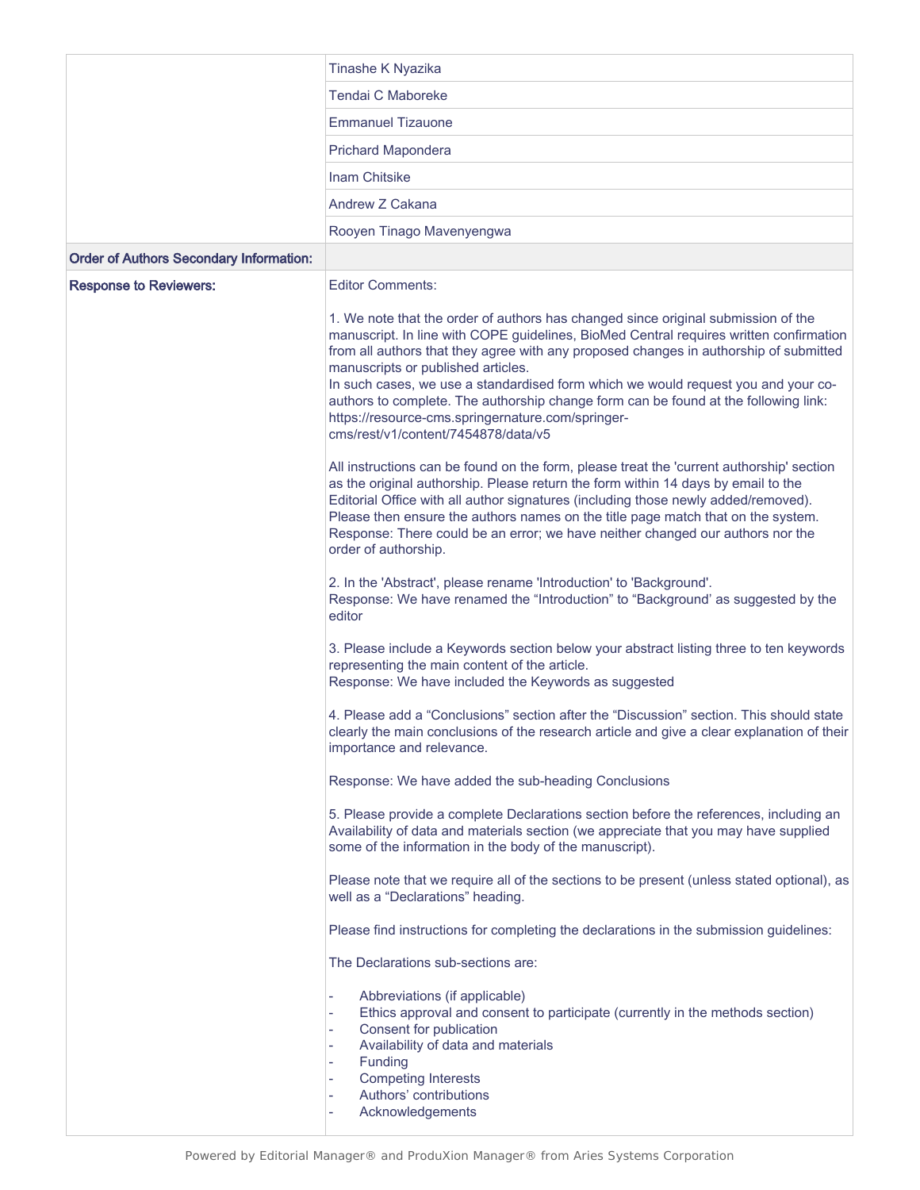|                                                | Tinashe K Nyazika                                                                                                                                                                                                                                                                                                                                                                                                                                                                                                                                                                  |  |  |  |  |  |  |  |  |
|------------------------------------------------|------------------------------------------------------------------------------------------------------------------------------------------------------------------------------------------------------------------------------------------------------------------------------------------------------------------------------------------------------------------------------------------------------------------------------------------------------------------------------------------------------------------------------------------------------------------------------------|--|--|--|--|--|--|--|--|
|                                                | Tendai C Maboreke                                                                                                                                                                                                                                                                                                                                                                                                                                                                                                                                                                  |  |  |  |  |  |  |  |  |
|                                                | <b>Emmanuel Tizauone</b>                                                                                                                                                                                                                                                                                                                                                                                                                                                                                                                                                           |  |  |  |  |  |  |  |  |
|                                                | <b>Prichard Mapondera</b>                                                                                                                                                                                                                                                                                                                                                                                                                                                                                                                                                          |  |  |  |  |  |  |  |  |
|                                                | <b>Inam Chitsike</b>                                                                                                                                                                                                                                                                                                                                                                                                                                                                                                                                                               |  |  |  |  |  |  |  |  |
|                                                | Andrew Z Cakana                                                                                                                                                                                                                                                                                                                                                                                                                                                                                                                                                                    |  |  |  |  |  |  |  |  |
|                                                | Rooyen Tinago Mavenyengwa                                                                                                                                                                                                                                                                                                                                                                                                                                                                                                                                                          |  |  |  |  |  |  |  |  |
| <b>Order of Authors Secondary Information:</b> |                                                                                                                                                                                                                                                                                                                                                                                                                                                                                                                                                                                    |  |  |  |  |  |  |  |  |
| <b>Response to Reviewers:</b>                  | <b>Editor Comments:</b>                                                                                                                                                                                                                                                                                                                                                                                                                                                                                                                                                            |  |  |  |  |  |  |  |  |
|                                                | 1. We note that the order of authors has changed since original submission of the<br>manuscript. In line with COPE guidelines, BioMed Central requires written confirmation<br>from all authors that they agree with any proposed changes in authorship of submitted<br>manuscripts or published articles.<br>In such cases, we use a standardised form which we would request you and your co-<br>authors to complete. The authorship change form can be found at the following link:<br>https://resource-cms.springernature.com/springer-<br>cms/rest/v1/content/7454878/data/v5 |  |  |  |  |  |  |  |  |
|                                                | All instructions can be found on the form, please treat the 'current authorship' section<br>as the original authorship. Please return the form within 14 days by email to the<br>Editorial Office with all author signatures (including those newly added/removed).<br>Please then ensure the authors names on the title page match that on the system.<br>Response: There could be an error; we have neither changed our authors nor the<br>order of authorship.                                                                                                                  |  |  |  |  |  |  |  |  |
|                                                | 2. In the 'Abstract', please rename 'Introduction' to 'Background'.<br>Response: We have renamed the "Introduction" to "Background' as suggested by the<br>editor                                                                                                                                                                                                                                                                                                                                                                                                                  |  |  |  |  |  |  |  |  |
|                                                | 3. Please include a Keywords section below your abstract listing three to ten keywords<br>representing the main content of the article.<br>Response: We have included the Keywords as suggested                                                                                                                                                                                                                                                                                                                                                                                    |  |  |  |  |  |  |  |  |
|                                                | 4. Please add a "Conclusions" section after the "Discussion" section. This should state<br>clearly the main conclusions of the research article and give a clear explanation of their<br>importance and relevance.                                                                                                                                                                                                                                                                                                                                                                 |  |  |  |  |  |  |  |  |
|                                                | Response: We have added the sub-heading Conclusions                                                                                                                                                                                                                                                                                                                                                                                                                                                                                                                                |  |  |  |  |  |  |  |  |
|                                                | 5. Please provide a complete Declarations section before the references, including an<br>Availability of data and materials section (we appreciate that you may have supplied<br>some of the information in the body of the manuscript).                                                                                                                                                                                                                                                                                                                                           |  |  |  |  |  |  |  |  |
|                                                | Please note that we require all of the sections to be present (unless stated optional), as<br>well as a "Declarations" heading.                                                                                                                                                                                                                                                                                                                                                                                                                                                    |  |  |  |  |  |  |  |  |
|                                                | Please find instructions for completing the declarations in the submission guidelines:                                                                                                                                                                                                                                                                                                                                                                                                                                                                                             |  |  |  |  |  |  |  |  |
|                                                | The Declarations sub-sections are:                                                                                                                                                                                                                                                                                                                                                                                                                                                                                                                                                 |  |  |  |  |  |  |  |  |
|                                                | Abbreviations (if applicable)<br>Ethics approval and consent to participate (currently in the methods section)<br>L<br>Consent for publication<br>L,<br>Availability of data and materials<br>Funding<br><b>Competing Interests</b><br>÷,<br>Authors' contributions<br>i.<br>Acknowledgements                                                                                                                                                                                                                                                                                      |  |  |  |  |  |  |  |  |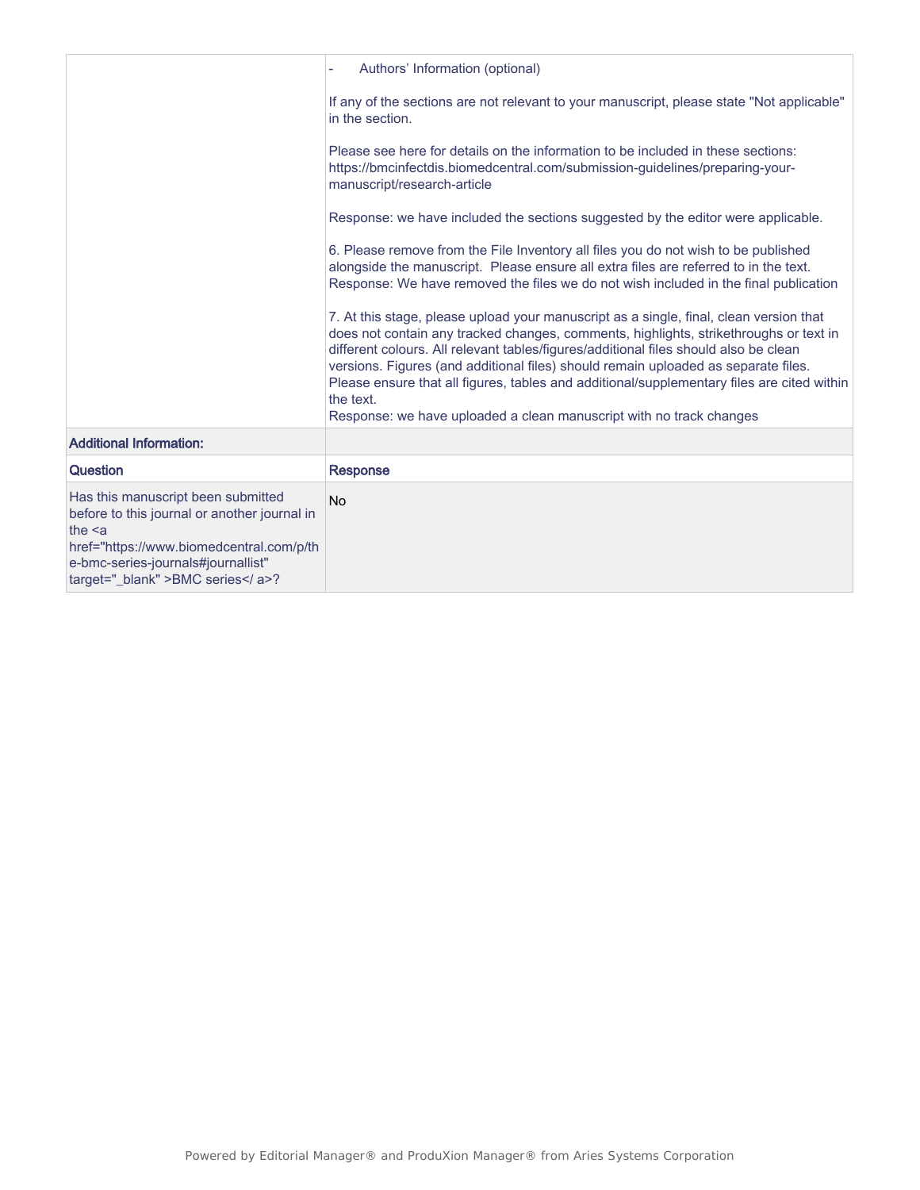|                                                                                                                                                                                                                      | Authors' Information (optional)                                                                                                                                                                                                                                                                                                                                                                                                                                                                                                                 |
|----------------------------------------------------------------------------------------------------------------------------------------------------------------------------------------------------------------------|-------------------------------------------------------------------------------------------------------------------------------------------------------------------------------------------------------------------------------------------------------------------------------------------------------------------------------------------------------------------------------------------------------------------------------------------------------------------------------------------------------------------------------------------------|
|                                                                                                                                                                                                                      | If any of the sections are not relevant to your manuscript, please state "Not applicable"<br>in the section.                                                                                                                                                                                                                                                                                                                                                                                                                                    |
|                                                                                                                                                                                                                      | Please see here for details on the information to be included in these sections:<br>https://bmcinfectdis.biomedcentral.com/submission-guidelines/preparing-your-<br>manuscript/research-article                                                                                                                                                                                                                                                                                                                                                 |
|                                                                                                                                                                                                                      | Response: we have included the sections suggested by the editor were applicable.                                                                                                                                                                                                                                                                                                                                                                                                                                                                |
|                                                                                                                                                                                                                      | 6. Please remove from the File Inventory all files you do not wish to be published<br>alongside the manuscript. Please ensure all extra files are referred to in the text.<br>Response: We have removed the files we do not wish included in the final publication                                                                                                                                                                                                                                                                              |
|                                                                                                                                                                                                                      | 7. At this stage, please upload your manuscript as a single, final, clean version that<br>does not contain any tracked changes, comments, highlights, strikethroughs or text in<br>different colours. All relevant tables/figures/additional files should also be clean<br>versions. Figures (and additional files) should remain uploaded as separate files.<br>Please ensure that all figures, tables and additional/supplementary files are cited within<br>the text.<br>Response: we have uploaded a clean manuscript with no track changes |
| <b>Additional Information:</b>                                                                                                                                                                                       |                                                                                                                                                                                                                                                                                                                                                                                                                                                                                                                                                 |
| Question                                                                                                                                                                                                             | <b>Response</b>                                                                                                                                                                                                                                                                                                                                                                                                                                                                                                                                 |
| Has this manuscript been submitted<br>before to this journal or another journal in<br>the $\leq a$<br>href="https://www.biomedcentral.com/p/th<br>e-bmc-series-journals#journallist"<br>target="_blank" >BMC series? | <b>No</b>                                                                                                                                                                                                                                                                                                                                                                                                                                                                                                                                       |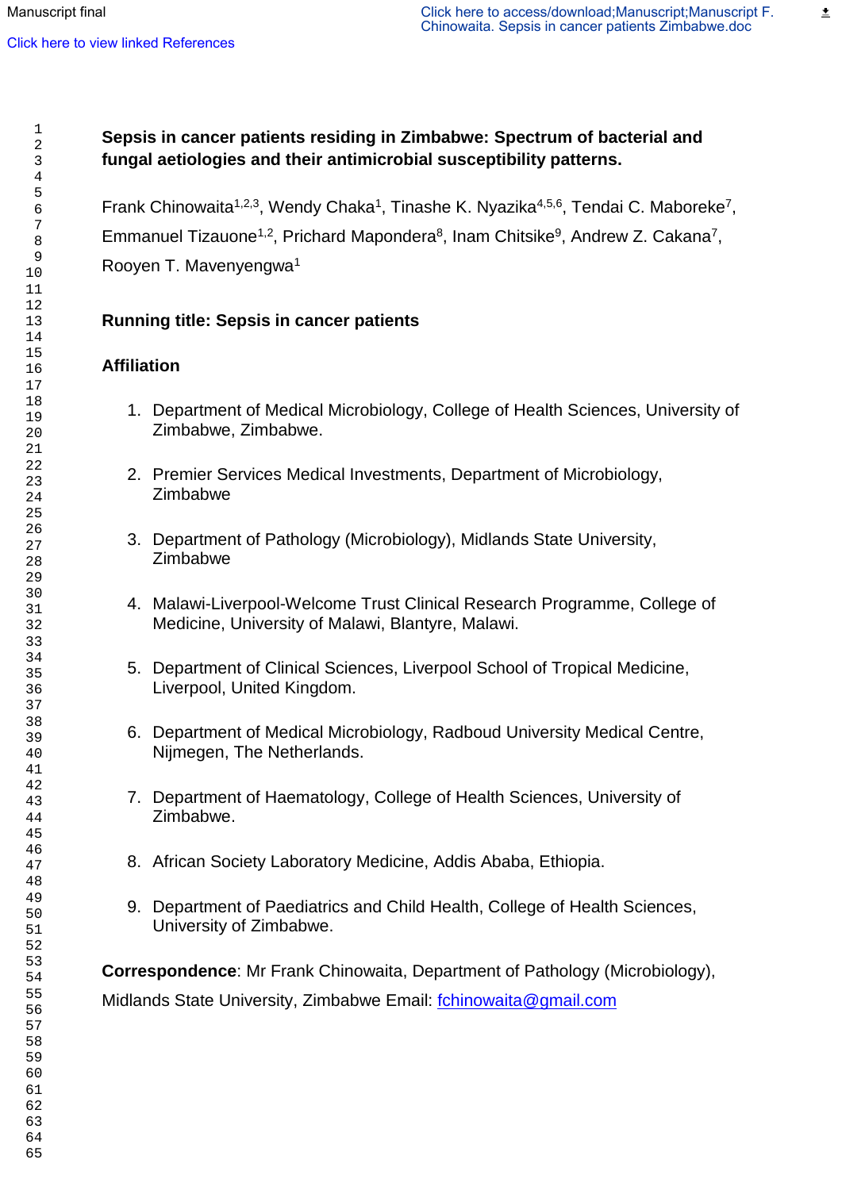≛

# **Sepsis in cancer patients residing in Zimbabwe: Spectrum of bacterial and fungal aetiologies and their antimicrobial susceptibility patterns.**

Frank Chinowaita<sup>1,2,3</sup>, Wendy Chaka<sup>1</sup>, Tinashe K. Nyazika<sup>4,5,6</sup>, Tendai C. Maboreke<sup>7</sup>, Emmanuel Tizauone<sup>1,2</sup>, Prichard Mapondera<sup>8</sup>, Inam Chitsike<sup>9</sup>, Andrew Z. Cakana<sup>7</sup>, Rooyen T. Mavenyengwa<sup>1</sup>

# **Running title: Sepsis in cancer patients**

# **Affiliation**

- 1. Department of Medical Microbiology, College of Health Sciences, University of Zimbabwe, Zimbabwe.
- 2. Premier Services Medical Investments, Department of Microbiology, Zimbabwe
- 3. Department of Pathology (Microbiology), Midlands State University, Zimbabwe
- 4. Malawi-Liverpool-Welcome Trust Clinical Research Programme, College of Medicine, University of Malawi, Blantyre, Malawi.
- 5. Department of Clinical Sciences, Liverpool School of Tropical Medicine, Liverpool, United Kingdom.
- 6. Department of Medical Microbiology, Radboud University Medical Centre, Nijmegen, The Netherlands.
- 7. Department of Haematology, College of Health Sciences, University of Zimbabwe.
- 8. African Society Laboratory Medicine, Addis Ababa, Ethiopia.
- 9. Department of Paediatrics and Child Health, College of Health Sciences, University of Zimbabwe.

**Correspondence**: Mr Frank Chinowaita, Department of Pathology (Microbiology), Midlands State University, Zimbabwe Email: [fchinowaita@gmail.com](mailto:fchinowaita@gmail.com)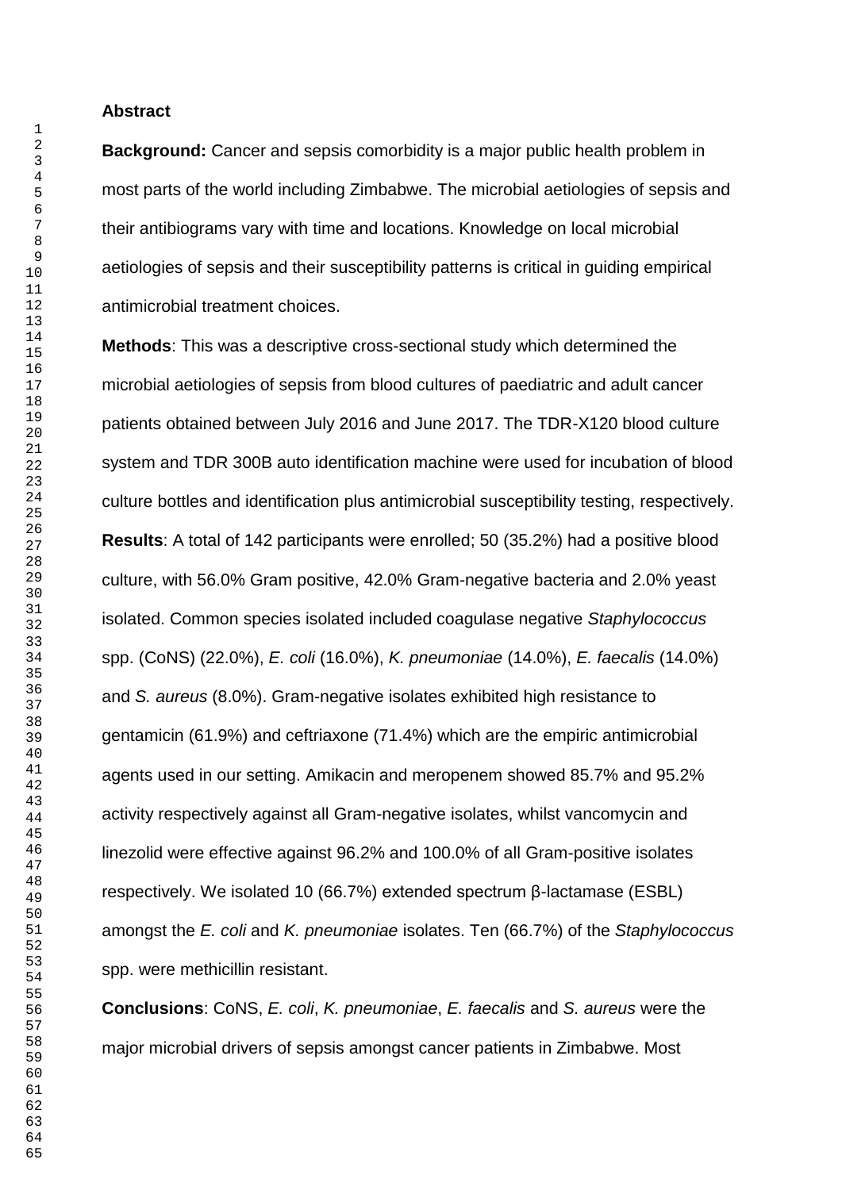**Abstract**

**Background:** Cancer and sepsis comorbidity is a major public health problem in most parts of the world including Zimbabwe. The microbial aetiologies of sepsis and their antibiograms vary with time and locations. Knowledge on local microbial aetiologies of sepsis and their susceptibility patterns is critical in guiding empirical antimicrobial treatment choices.

**Methods**: This was a descriptive cross-sectional study which determined the microbial aetiologies of sepsis from blood cultures of paediatric and adult cancer patients obtained between July 2016 and June 2017. The TDR-X120 blood culture system and TDR 300B auto identification machine were used for incubation of blood culture bottles and identification plus antimicrobial susceptibility testing, respectively. **Results**: A total of 142 participants were enrolled; 50 (35.2%) had a positive blood culture, with 56.0% Gram positive, 42.0% Gram-negative bacteria and 2.0% yeast isolated. Common species isolated included coagulase negative *Staphylococcus* spp. (CoNS) (22.0%), *E. coli* (16.0%), *K. pneumoniae* (14.0%), *E. faecalis* (14.0%) and *S. aureus* (8.0%). Gram-negative isolates exhibited high resistance to gentamicin (61.9%) and ceftriaxone (71.4%) which are the empiric antimicrobial agents used in our setting. Amikacin and meropenem showed 85.7% and 95.2% activity respectively against all Gram-negative isolates, whilst vancomycin and linezolid were effective against 96.2% and 100.0% of all Gram-positive isolates respectively. We isolated 10 (66.7%) extended spectrum β-lactamase (ESBL) amongst the *E. coli* and *K. pneumoniae* isolates. Ten (66.7%) of the *Staphylococcus* spp. were methicillin resistant.

**Conclusions**: CoNS, *E. coli*, *K. pneumoniae*, *E. faecalis* and *S. aureus* were the major microbial drivers of sepsis amongst cancer patients in Zimbabwe. Most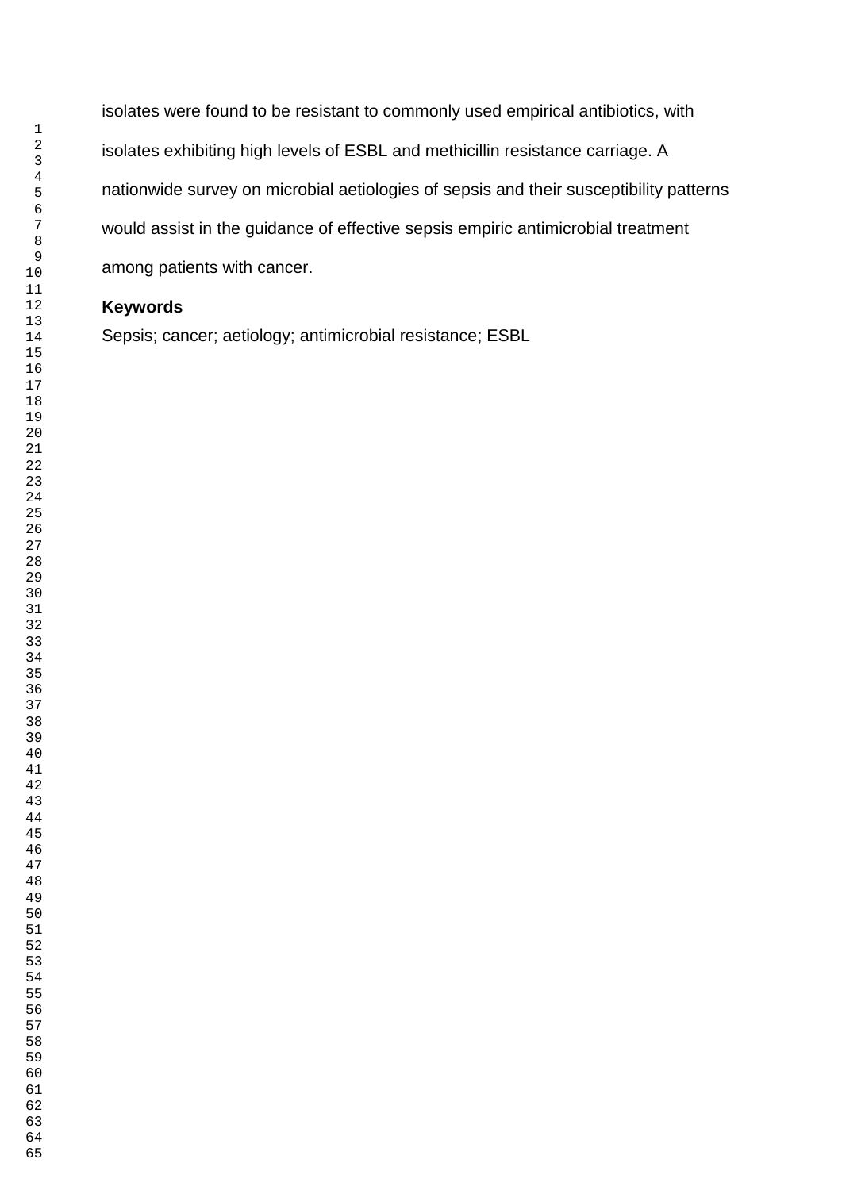isolates were found to be resistant to commonly used empirical antibiotics, with isolates exhibiting high levels of ESBL and methicillin resistance carriage. A nationwide survey on microbial aetiologies of sepsis and their susceptibility patterns would assist in the guidance of effective sepsis empiric antimicrobial treatment among patients with cancer.

## **Keywords**

Sepsis; cancer; aetiology; antimicrobial resistance; ESBL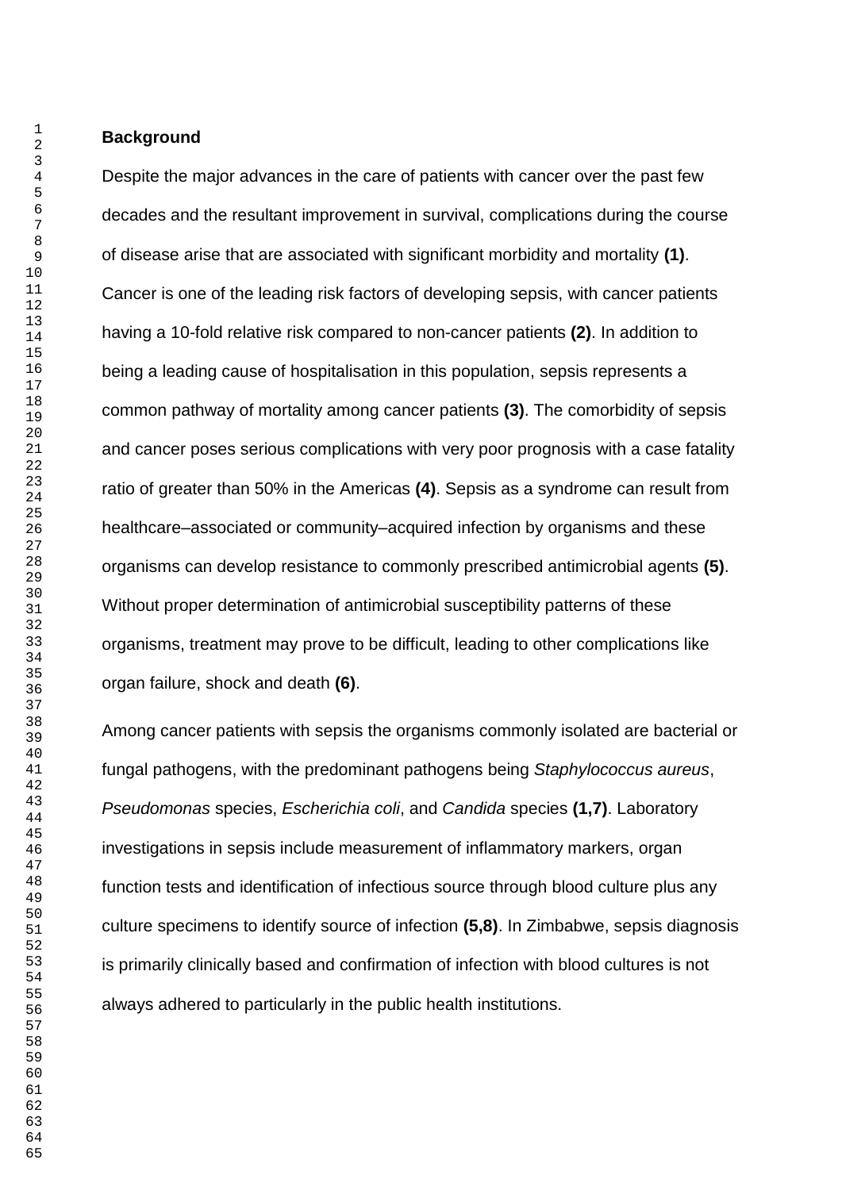**Background**

Despite the major advances in the care of patients with cancer over the past few decades and the resultant improvement in survival, complications during the course of disease arise that are associated with significant morbidity and mortality **(1)**. Cancer is one of the leading risk factors of developing sepsis, with cancer patients having a 10-fold relative risk compared to non-cancer patients **(2)**. In addition to being a leading cause of hospitalisation in this population, sepsis represents a common pathway of mortality among cancer patients **(3)**. The comorbidity of sepsis and cancer poses serious complications with very poor prognosis with a case fatality ratio of greater than 50% in the Americas **(4)**. Sepsis as a syndrome can result from healthcare–associated or community–acquired infection by organisms and these organisms can develop resistance to commonly prescribed antimicrobial agents **(5)**. Without proper determination of antimicrobial susceptibility patterns of these organisms, treatment may prove to be difficult, leading to other complications like organ failure, shock and death **(6)**.

Among cancer patients with sepsis the organisms commonly isolated are bacterial or fungal pathogens, with the predominant pathogens being *Staphylococcus aureus*, *Pseudomonas* species, *Escherichia coli*, and *Candida* species **(1,7)**. Laboratory investigations in sepsis include measurement of inflammatory markers, organ function tests and identification of infectious source through blood culture plus any culture specimens to identify source of infection **(5,8)**. In Zimbabwe, sepsis diagnosis is primarily clinically based and confirmation of infection with blood cultures is not always adhered to particularly in the public health institutions.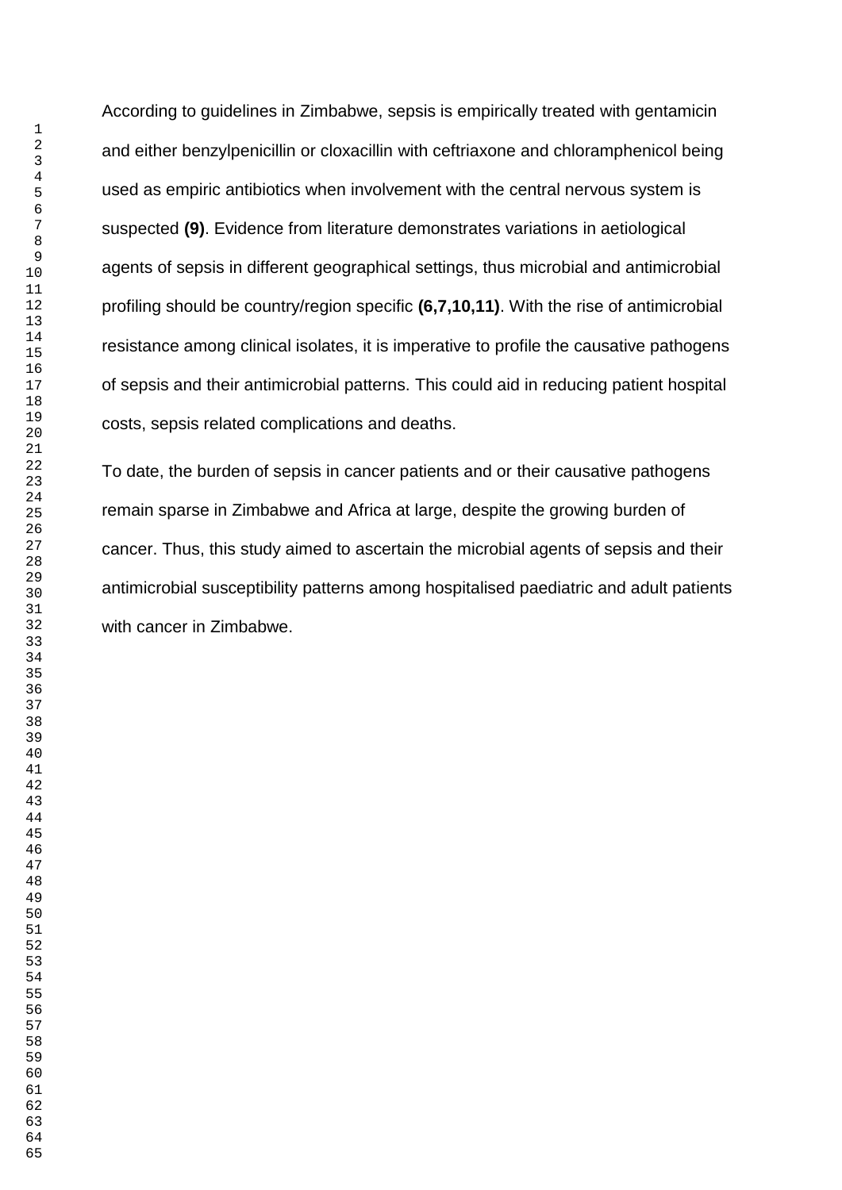According to guidelines in Zimbabwe, sepsis is empirically treated with gentamicin and either benzylpenicillin or cloxacillin with ceftriaxone and chloramphenicol being used as empiric antibiotics when involvement with the central nervous system is suspected **(9)**. Evidence from literature demonstrates variations in aetiological agents of sepsis in different geographical settings, thus microbial and antimicrobial profiling should be country/region specific **(6,7,10,11)**. With the rise of antimicrobial resistance among clinical isolates, it is imperative to profile the causative pathogens of sepsis and their antimicrobial patterns. This could aid in reducing patient hospital costs, sepsis related complications and deaths.

To date, the burden of sepsis in cancer patients and or their causative pathogens remain sparse in Zimbabwe and Africa at large, despite the growing burden of cancer. Thus, this study aimed to ascertain the microbial agents of sepsis and their antimicrobial susceptibility patterns among hospitalised paediatric and adult patients with cancer in Zimbabwe.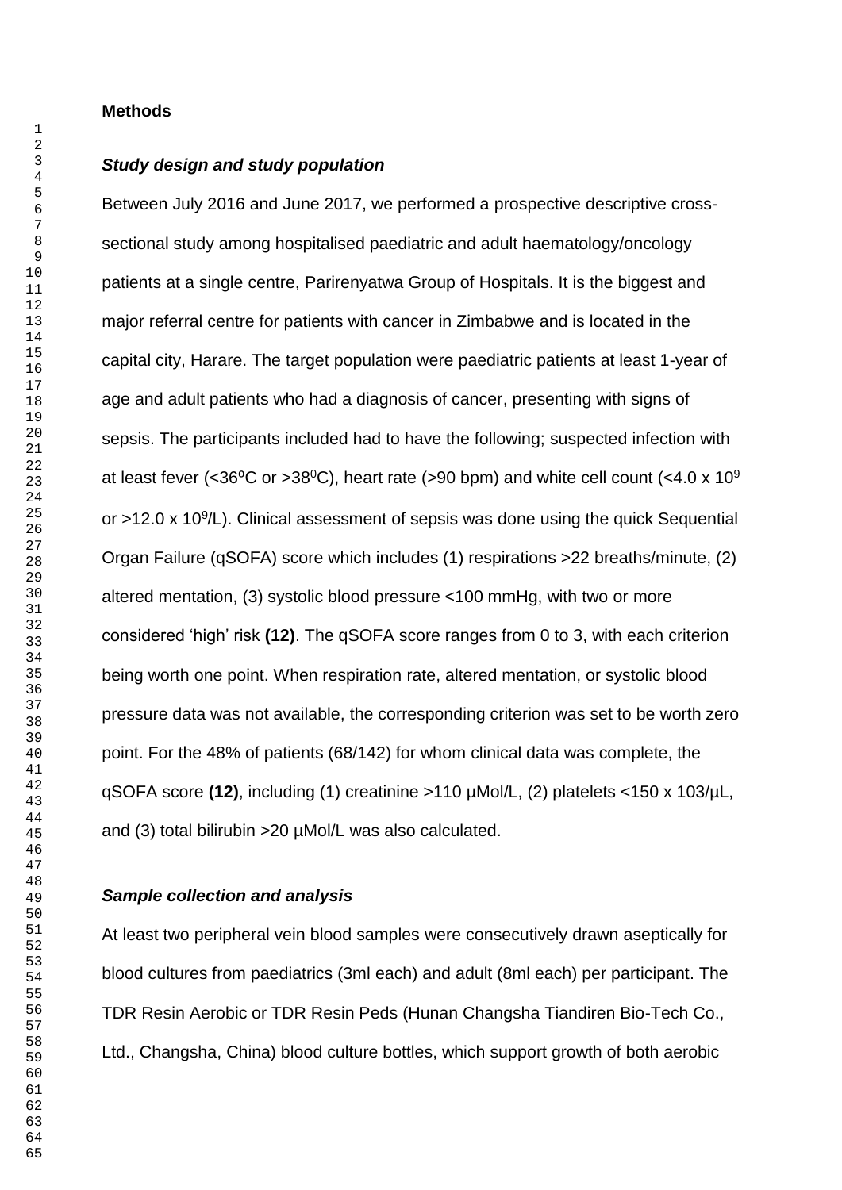#### **Methods**

## *Study design and study population*

Between July 2016 and June 2017, we performed a prospective descriptive crosssectional study among hospitalised paediatric and adult haematology/oncology patients at a single centre, Parirenyatwa Group of Hospitals. It is the biggest and major referral centre for patients with cancer in Zimbabwe and is located in the capital city, Harare. The target population were paediatric patients at least 1-year of age and adult patients who had a diagnosis of cancer, presenting with signs of sepsis. The participants included had to have the following; suspected infection with at least fever (<36 $\degree$ C or >38 $\degree$ C), heart rate (>90 bpm) and white cell count (<4.0 x 10 $\degree$ or  $>12.0 \times 10^9$ /L). Clinical assessment of sepsis was done using the quick Sequential Organ Failure (qSOFA) score which includes (1) respirations >22 breaths/minute, (2) altered mentation, (3) systolic blood pressure <100 mmHg, with two or more considered 'high' risk **(12)**. The qSOFA score ranges from 0 to 3, with each criterion being worth one point. When respiration rate, altered mentation, or systolic blood pressure data was not available, the corresponding criterion was set to be worth zero point. For the 48% of patients (68/142) for whom clinical data was complete, the qSOFA score **(12)**, including (1) creatinine >110 µMol/L, (2) platelets <150 x 103/µL, and (3) total bilirubin >20 µMol/L was also calculated.

#### *Sample collection and analysis*

At least two peripheral vein blood samples were consecutively drawn aseptically for blood cultures from paediatrics (3ml each) and adult (8ml each) per participant. The TDR Resin Aerobic or TDR Resin Peds (Hunan Changsha Tiandiren Bio-Tech Co., Ltd., Changsha, China) blood culture bottles, which support growth of both aerobic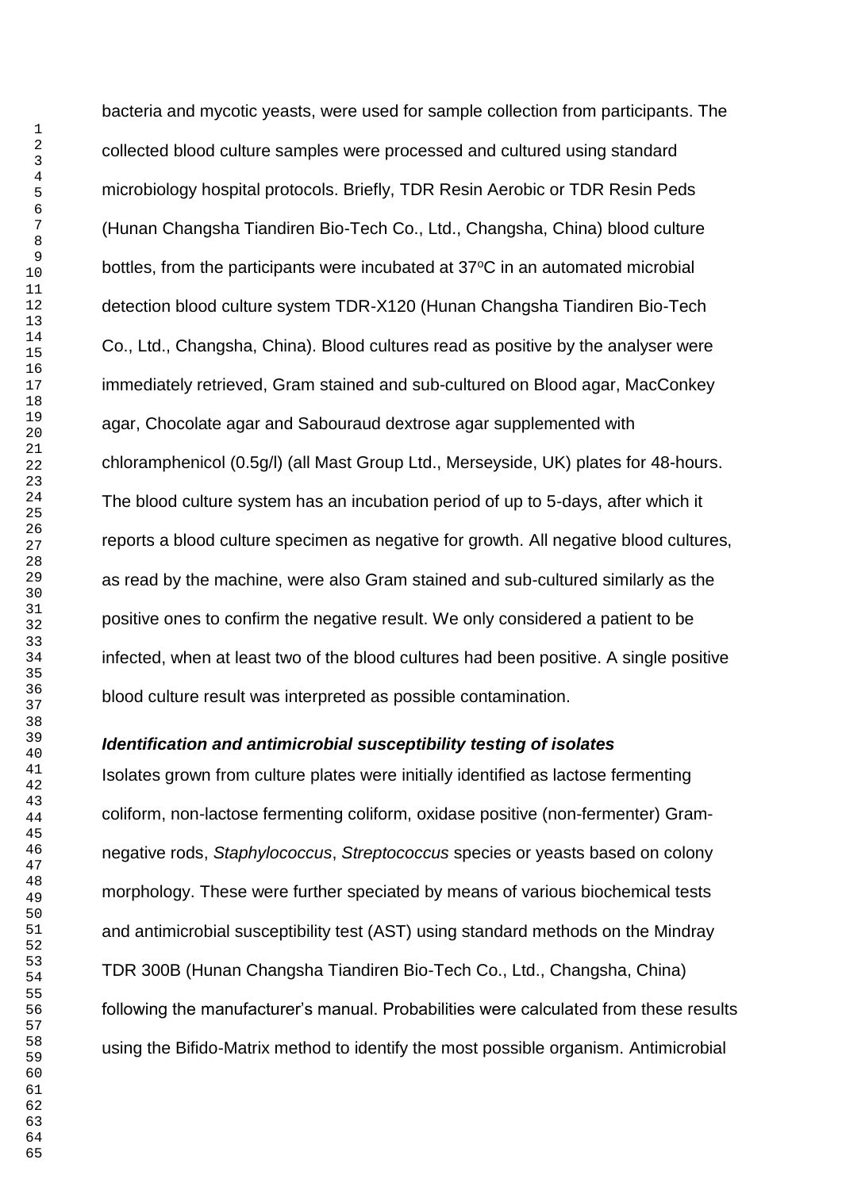bacteria and mycotic yeasts, were used for sample collection from participants. The collected blood culture samples were processed and cultured using standard microbiology hospital protocols. Briefly, TDR Resin Aerobic or TDR Resin Peds (Hunan Changsha Tiandiren Bio-Tech Co., Ltd., Changsha, China) blood culture bottles, from the participants were incubated at 37°C in an automated microbial detection blood culture system TDR-X120 (Hunan Changsha Tiandiren Bio-Tech Co., Ltd., Changsha, China). Blood cultures read as positive by the analyser were immediately retrieved, Gram stained and sub-cultured on Blood agar, MacConkey agar, Chocolate agar and Sabouraud dextrose agar supplemented with chloramphenicol (0.5g/l) (all Mast Group Ltd., Merseyside, UK) plates for 48-hours. The blood culture system has an incubation period of up to 5-days, after which it reports a blood culture specimen as negative for growth. All negative blood cultures, as read by the machine, were also Gram stained and sub-cultured similarly as the positive ones to confirm the negative result. We only considered a patient to be infected, when at least two of the blood cultures had been positive. A single positive blood culture result was interpreted as possible contamination.

#### *Identification and antimicrobial susceptibility testing of isolates*

Isolates grown from culture plates were initially identified as lactose fermenting coliform, non-lactose fermenting coliform, oxidase positive (non-fermenter) Gramnegative rods, *Staphylococcus*, *Streptococcus* species or yeasts based on colony morphology. These were further speciated by means of various biochemical tests and antimicrobial susceptibility test (AST) using standard methods on the Mindray TDR 300B (Hunan Changsha Tiandiren Bio-Tech Co., Ltd., Changsha, China) following the manufacturer's manual. Probabilities were calculated from these results using the Bifido-Matrix method to identify the most possible organism. Antimicrobial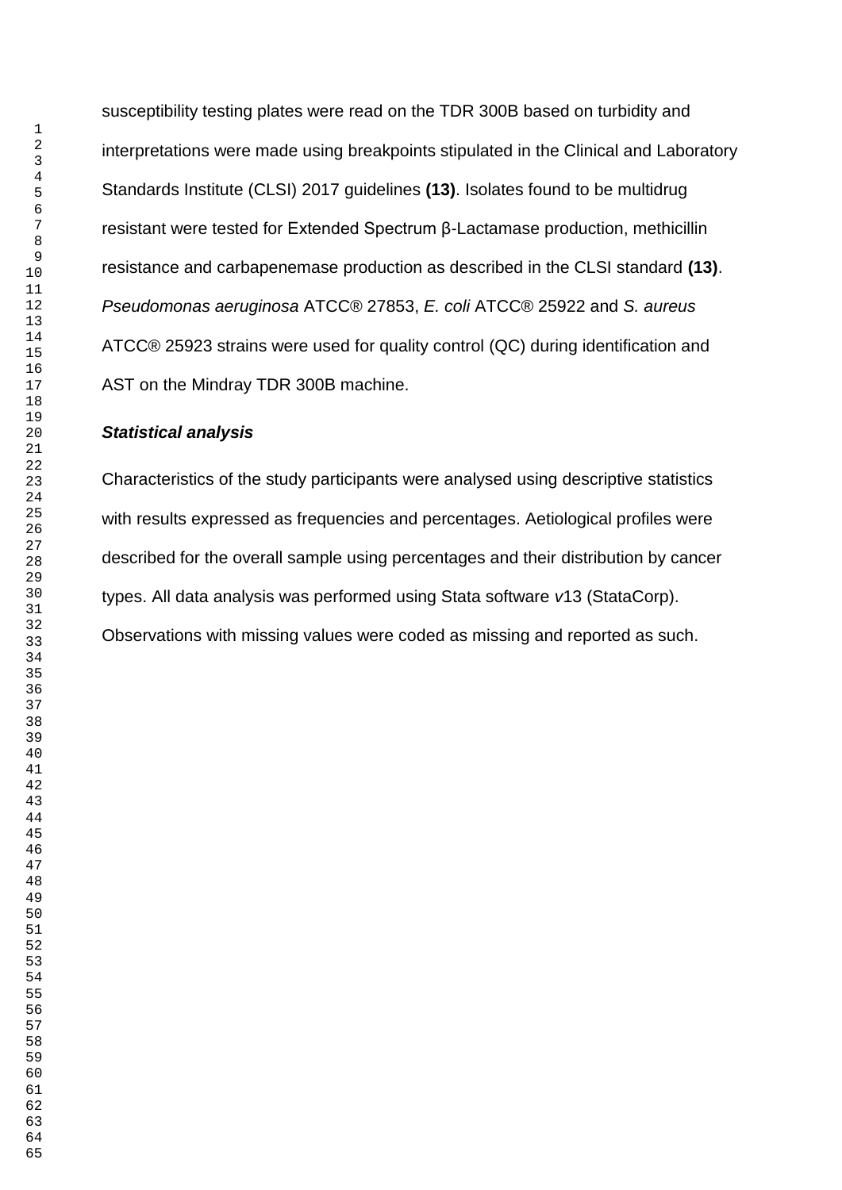susceptibility testing plates were read on the TDR 300B based on turbidity and interpretations were made using breakpoints stipulated in the Clinical and Laboratory Standards Institute (CLSI) 2017 guidelines **(13)**. Isolates found to be multidrug resistant were tested for Extended Spectrum β-Lactamase production, methicillin resistance and carbapenemase production as described in the CLSI standard **(13)**. *Pseudomonas aeruginosa* ATCC® 27853, *E. coli* ATCC® 25922 and *S. aureus* ATCC® 25923 strains were used for quality control (QC) during identification and AST on the Mindray TDR 300B machine.

### *Statistical analysis*

Characteristics of the study participants were analysed using descriptive statistics with results expressed as frequencies and percentages. Aetiological profiles were described for the overall sample using percentages and their distribution by cancer types. All data analysis was performed using Stata software *v*13 (StataCorp). Observations with missing values were coded as missing and reported as such.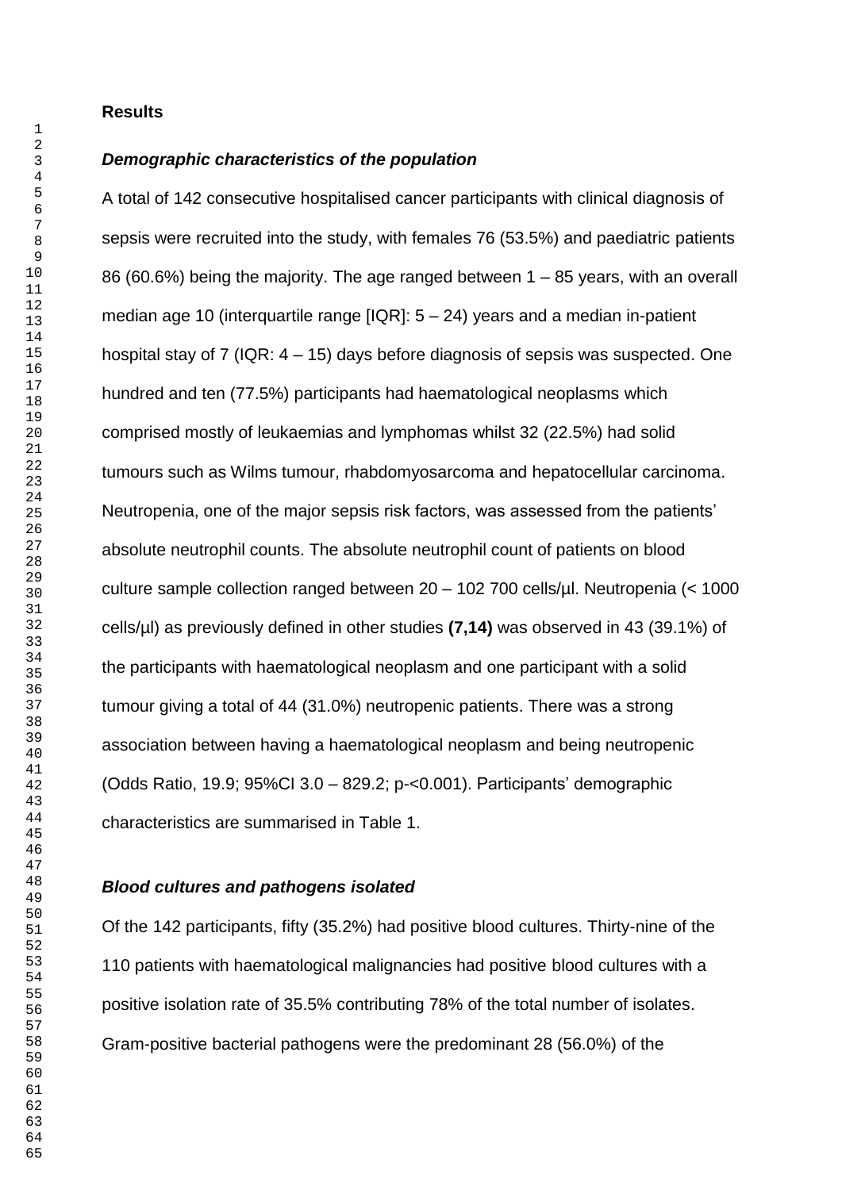#### **Results**

#### *Demographic characteristics of the population*

A total of 142 consecutive hospitalised cancer participants with clinical diagnosis of sepsis were recruited into the study, with females 76 (53.5%) and paediatric patients 86 (60.6%) being the majority. The age ranged between 1 – 85 years, with an overall median age 10 (interquartile range [IQR]: 5 – 24) years and a median in-patient hospital stay of 7 (IQR: 4 – 15) days before diagnosis of sepsis was suspected. One hundred and ten (77.5%) participants had haematological neoplasms which comprised mostly of leukaemias and lymphomas whilst 32 (22.5%) had solid tumours such as Wilms tumour, rhabdomyosarcoma and hepatocellular carcinoma. Neutropenia, one of the major sepsis risk factors, was assessed from the patients' absolute neutrophil counts. The absolute neutrophil count of patients on blood culture sample collection ranged between 20 – 102 700 cells/µl. Neutropenia (< 1000 cells/µl) as previously defined in other studies **(7,14)** was observed in 43 (39.1%) of the participants with haematological neoplasm and one participant with a solid tumour giving a total of 44 (31.0%) neutropenic patients. There was a strong association between having a haematological neoplasm and being neutropenic (Odds Ratio, 19.9; 95%CI 3.0 – 829.2; p-<0.001). Participants' demographic characteristics are summarised in Table 1.

#### *Blood cultures and pathogens isolated*

Of the 142 participants, fifty (35.2%) had positive blood cultures. Thirty-nine of the 110 patients with haematological malignancies had positive blood cultures with a positive isolation rate of 35.5% contributing 78% of the total number of isolates. Gram-positive bacterial pathogens were the predominant 28 (56.0%) of the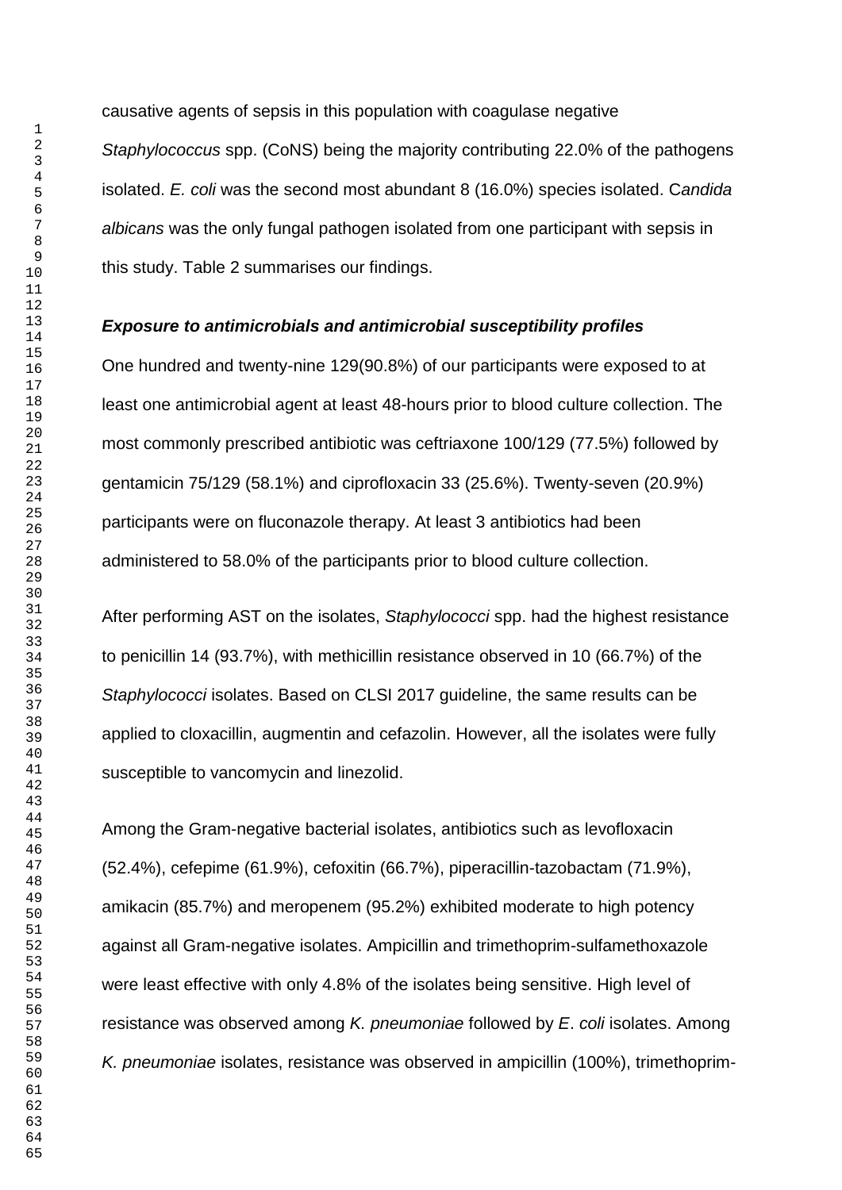causative agents of sepsis in this population with coagulase negative *Staphylococcus* spp. (CoNS) being the majority contributing 22.0% of the pathogens isolated. *E. coli* was the second most abundant 8 (16.0%) species isolated. C*andida albicans* was the only fungal pathogen isolated from one participant with sepsis in this study. Table 2 summarises our findings.

### *Exposure to antimicrobials and antimicrobial susceptibility profiles*

One hundred and twenty-nine 129(90.8%) of our participants were exposed to at least one antimicrobial agent at least 48-hours prior to blood culture collection. The most commonly prescribed antibiotic was ceftriaxone 100/129 (77.5%) followed by gentamicin 75/129 (58.1%) and ciprofloxacin 33 (25.6%). Twenty-seven (20.9%) participants were on fluconazole therapy. At least 3 antibiotics had been administered to 58.0% of the participants prior to blood culture collection.

After performing AST on the isolates, *Staphylococci* spp. had the highest resistance to penicillin 14 (93.7%), with methicillin resistance observed in 10 (66.7%) of the *Staphylococci* isolates. Based on CLSI 2017 guideline, the same results can be applied to cloxacillin, augmentin and cefazolin. However, all the isolates were fully susceptible to vancomycin and linezolid.

Among the Gram-negative bacterial isolates, antibiotics such as levofloxacin (52.4%), cefepime (61.9%), cefoxitin (66.7%), piperacillin-tazobactam (71.9%), amikacin (85.7%) and meropenem (95.2%) exhibited moderate to high potency against all Gram-negative isolates. Ampicillin and trimethoprim-sulfamethoxazole were least effective with only 4.8% of the isolates being sensitive. High level of resistance was observed among *K. pneumoniae* followed by *E*. *coli* isolates. Among *K. pneumoniae* isolates, resistance was observed in ampicillin (100%), trimethoprim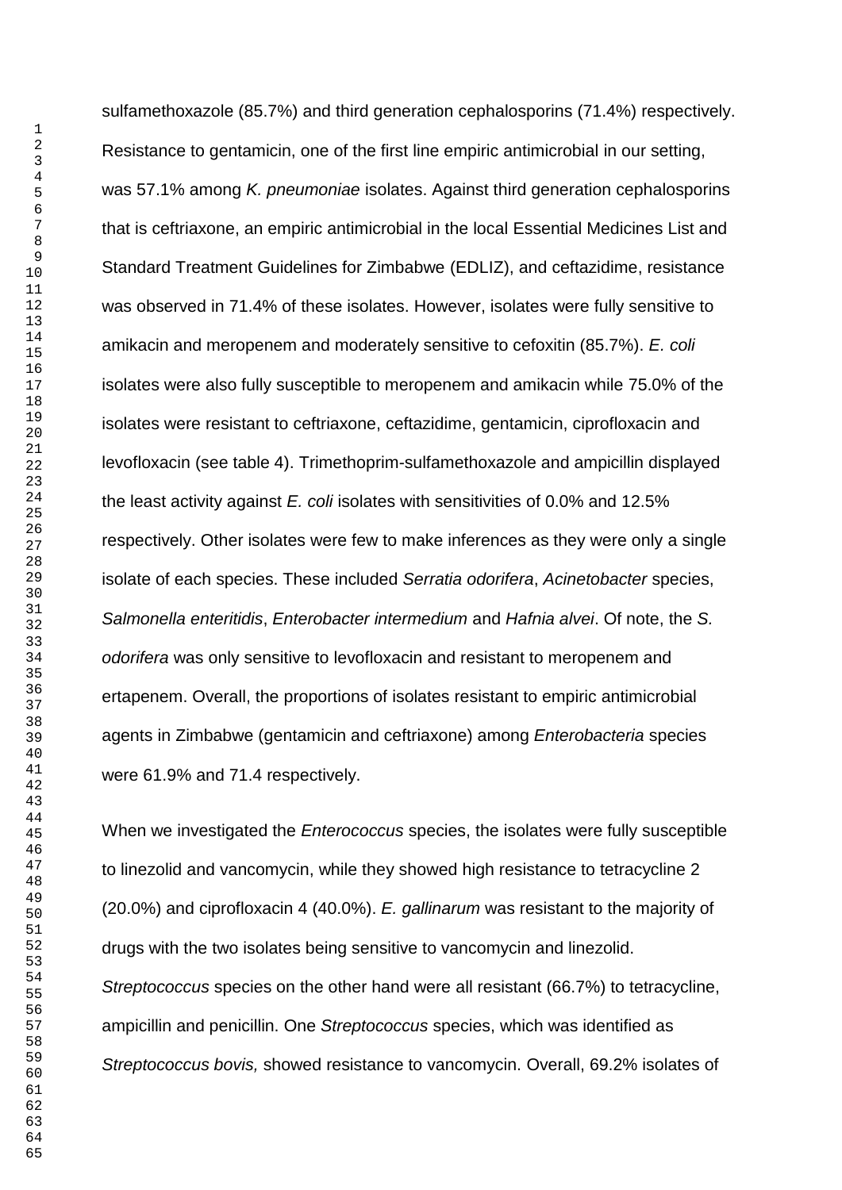sulfamethoxazole (85.7%) and third generation cephalosporins (71.4%) respectively. Resistance to gentamicin, one of the first line empiric antimicrobial in our setting, was 57.1% among *K. pneumoniae* isolates. Against third generation cephalosporins that is ceftriaxone, an empiric antimicrobial in the local Essential Medicines List and Standard Treatment Guidelines for Zimbabwe (EDLIZ), and ceftazidime, resistance was observed in 71.4% of these isolates. However, isolates were fully sensitive to amikacin and meropenem and moderately sensitive to cefoxitin (85.7%). *E. coli* isolates were also fully susceptible to meropenem and amikacin while 75.0% of the isolates were resistant to ceftriaxone, ceftazidime, gentamicin, ciprofloxacin and levofloxacin (see table 4). Trimethoprim-sulfamethoxazole and ampicillin displayed the least activity against *E. coli* isolates with sensitivities of 0.0% and 12.5% respectively. Other isolates were few to make inferences as they were only a single isolate of each species. These included *Serratia odorifera*, *Acinetobacter* species, *Salmonella enteritidis*, *Enterobacter intermedium* and *Hafnia alvei*. Of note, the *S. odorifera* was only sensitive to levofloxacin and resistant to meropenem and ertapenem. Overall, the proportions of isolates resistant to empiric antimicrobial agents in Zimbabwe (gentamicin and ceftriaxone) among *Enterobacteria* species were 61.9% and 71.4 respectively.

When we investigated the *Enterococcus* species, the isolates were fully susceptible to linezolid and vancomycin, while they showed high resistance to tetracycline 2 (20.0%) and ciprofloxacin 4 (40.0%). *E. gallinarum* was resistant to the majority of drugs with the two isolates being sensitive to vancomycin and linezolid. *Streptococcus* species on the other hand were all resistant (66.7%) to tetracycline, ampicillin and penicillin. One *Streptococcus* species, which was identified as *Streptococcus bovis,* showed resistance to vancomycin. Overall, 69.2% isolates of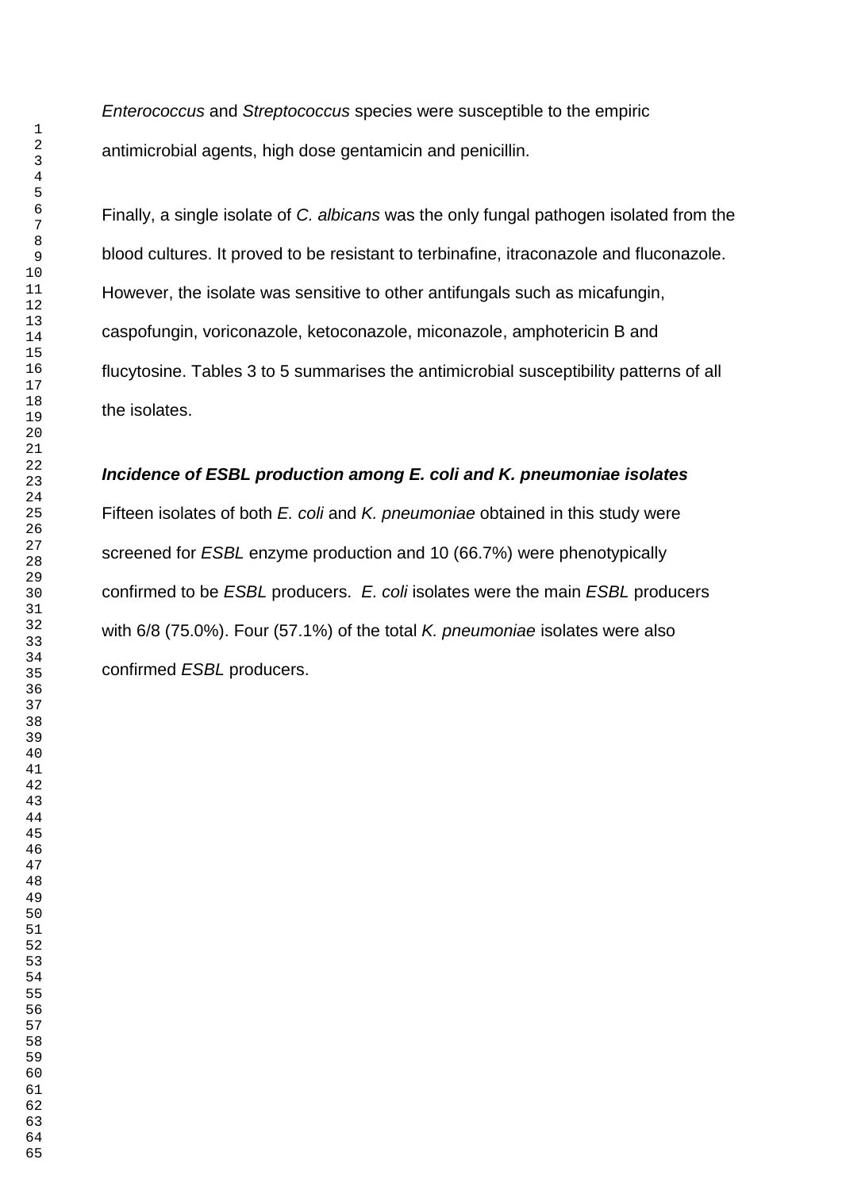*Enterococcus* and *Streptococcus* species were susceptible to the empiric antimicrobial agents, high dose gentamicin and penicillin.

Finally, a single isolate of *C. albicans* was the only fungal pathogen isolated from the blood cultures. It proved to be resistant to terbinafine, itraconazole and fluconazole. However, the isolate was sensitive to other antifungals such as micafungin, caspofungin, voriconazole, ketoconazole, miconazole, amphotericin B and flucytosine. Tables 3 to 5 summarises the antimicrobial susceptibility patterns of all the isolates.

## *Incidence of ESBL production among E. coli and K. pneumoniae isolates*

Fifteen isolates of both *E. coli* and *K. pneumoniae* obtained in this study were screened for *ESBL* enzyme production and 10 (66.7%) were phenotypically confirmed to be *ESBL* producers. *E. coli* isolates were the main *ESBL* producers with 6/8 (75.0%). Four (57.1%) of the total *K. pneumoniae* isolates were also confirmed *ESBL* producers.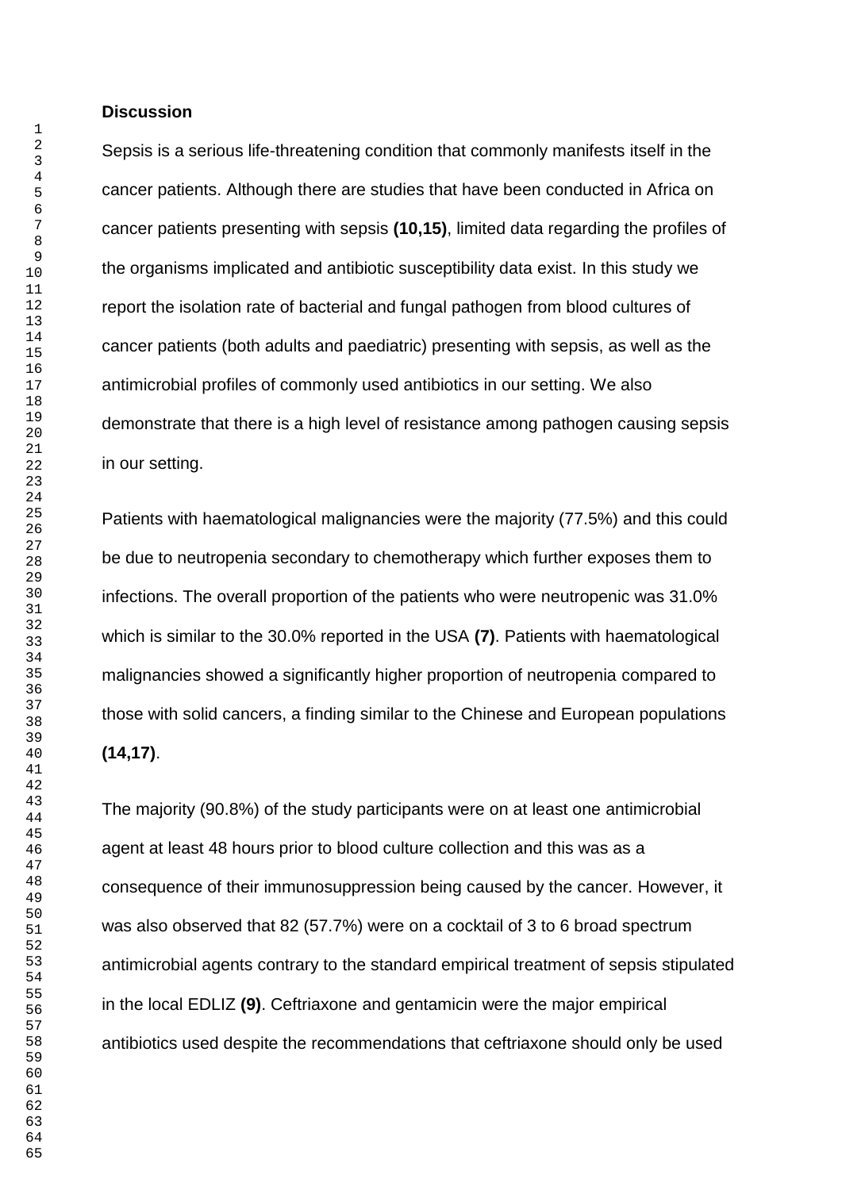#### **Discussion**

Sepsis is a serious life-threatening condition that commonly manifests itself in the cancer patients. Although there are studies that have been conducted in Africa on cancer patients presenting with sepsis **(10,15)**, limited data regarding the profiles of the organisms implicated and antibiotic susceptibility data exist. In this study we report the isolation rate of bacterial and fungal pathogen from blood cultures of cancer patients (both adults and paediatric) presenting with sepsis, as well as the antimicrobial profiles of commonly used antibiotics in our setting. We also demonstrate that there is a high level of resistance among pathogen causing sepsis in our setting.

Patients with haematological malignancies were the majority (77.5%) and this could be due to neutropenia secondary to chemotherapy which further exposes them to infections. The overall proportion of the patients who were neutropenic was 31.0% which is similar to the 30.0% reported in the USA **(7)**. Patients with haematological malignancies showed a significantly higher proportion of neutropenia compared to those with solid cancers, a finding similar to the Chinese and European populations **(14,17)**.

The majority (90.8%) of the study participants were on at least one antimicrobial agent at least 48 hours prior to blood culture collection and this was as a consequence of their immunosuppression being caused by the cancer. However, it was also observed that 82 (57.7%) were on a cocktail of 3 to 6 broad spectrum antimicrobial agents contrary to the standard empirical treatment of sepsis stipulated in the local EDLIZ **(9)**. Ceftriaxone and gentamicin were the major empirical antibiotics used despite the recommendations that ceftriaxone should only be used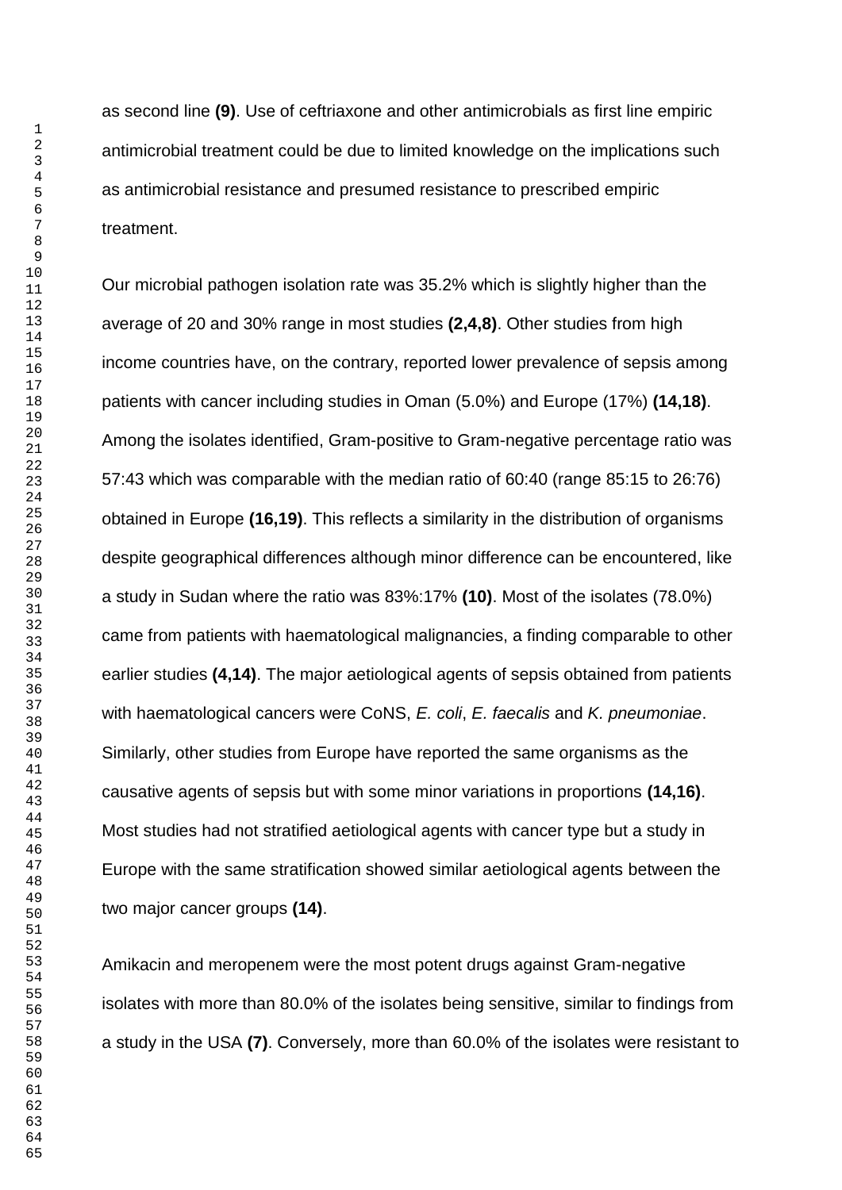as second line **(9)**. Use of ceftriaxone and other antimicrobials as first line empiric antimicrobial treatment could be due to limited knowledge on the implications such as antimicrobial resistance and presumed resistance to prescribed empiric treatment.

Our microbial pathogen isolation rate was 35.2% which is slightly higher than the average of 20 and 30% range in most studies **(2,4,8)**. Other studies from high income countries have, on the contrary, reported lower prevalence of sepsis among patients with cancer including studies in Oman (5.0%) and Europe (17%) **(14,18)**. Among the isolates identified, Gram-positive to Gram-negative percentage ratio was 57:43 which was comparable with the median ratio of 60:40 (range 85:15 to 26:76) obtained in Europe **(16,19)**. This reflects a similarity in the distribution of organisms despite geographical differences although minor difference can be encountered, like a study in Sudan where the ratio was 83%:17% **(10)**. Most of the isolates (78.0%) came from patients with haematological malignancies, a finding comparable to other earlier studies **(4,14)**. The major aetiological agents of sepsis obtained from patients with haematological cancers were CoNS, *E. coli*, *E. faecalis* and *K. pneumoniae*. Similarly, other studies from Europe have reported the same organisms as the causative agents of sepsis but with some minor variations in proportions **(14,16)**. Most studies had not stratified aetiological agents with cancer type but a study in Europe with the same stratification showed similar aetiological agents between the two major cancer groups **(14)**.

Amikacin and meropenem were the most potent drugs against Gram-negative isolates with more than 80.0% of the isolates being sensitive, similar to findings from a study in the USA **(7)**. Conversely, more than 60.0% of the isolates were resistant to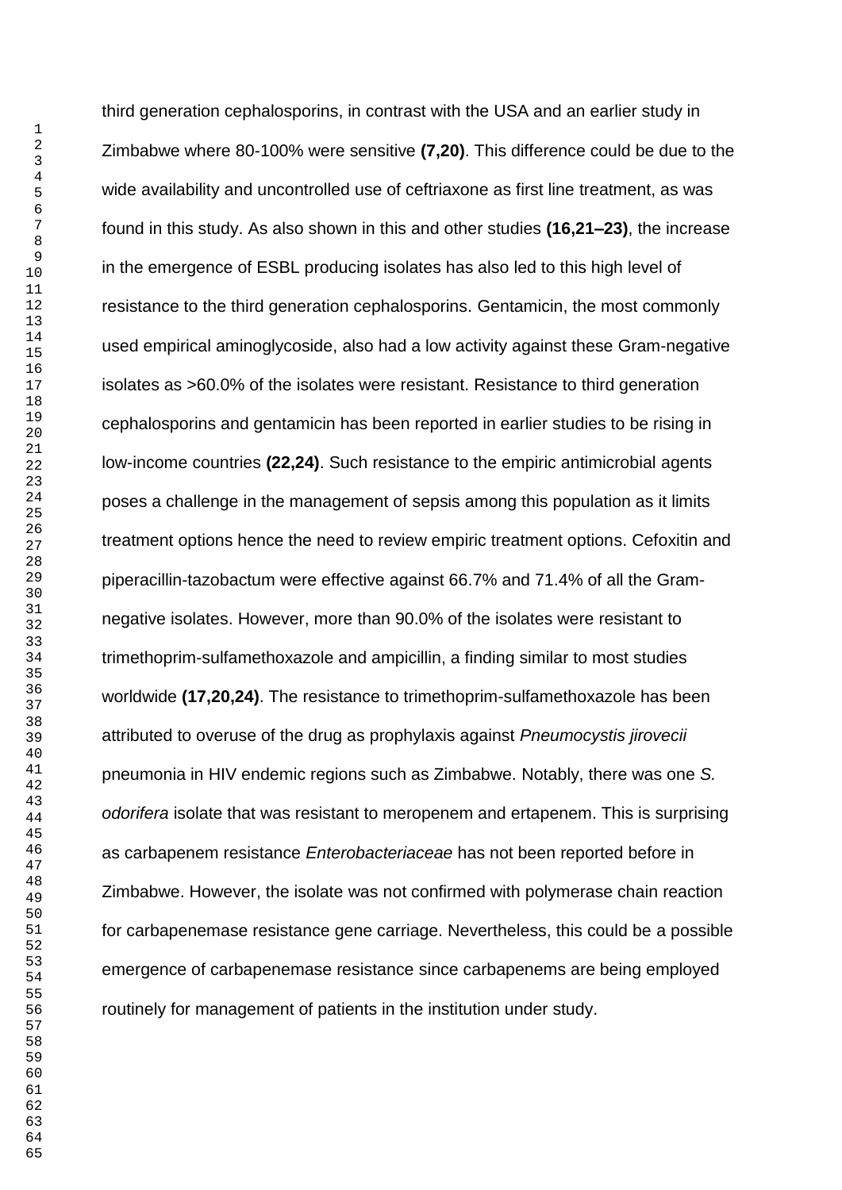third generation cephalosporins, in contrast with the USA and an earlier study in Zimbabwe where 80-100% were sensitive **(7,20)**. This difference could be due to the wide availability and uncontrolled use of ceftriaxone as first line treatment, as was found in this study. As also shown in this and other studies **(16,21–23)**, the increase in the emergence of ESBL producing isolates has also led to this high level of resistance to the third generation cephalosporins. Gentamicin, the most commonly used empirical aminoglycoside, also had a low activity against these Gram-negative isolates as >60.0% of the isolates were resistant. Resistance to third generation cephalosporins and gentamicin has been reported in earlier studies to be rising in low-income countries **(22,24)**. Such resistance to the empiric antimicrobial agents poses a challenge in the management of sepsis among this population as it limits treatment options hence the need to review empiric treatment options. Cefoxitin and piperacillin-tazobactum were effective against 66.7% and 71.4% of all the Gramnegative isolates. However, more than 90.0% of the isolates were resistant to trimethoprim-sulfamethoxazole and ampicillin, a finding similar to most studies worldwide **(17,20,24)**. The resistance to trimethoprim-sulfamethoxazole has been attributed to overuse of the drug as prophylaxis against *Pneumocystis jirovecii* pneumonia in HIV endemic regions such as Zimbabwe. Notably, there was one *S. odorifera* isolate that was resistant to meropenem and ertapenem. This is surprising as carbapenem resistance *Enterobacteriaceae* has not been reported before in Zimbabwe. However, the isolate was not confirmed with polymerase chain reaction for carbapenemase resistance gene carriage. Nevertheless, this could be a possible emergence of carbapenemase resistance since carbapenems are being employed routinely for management of patients in the institution under study.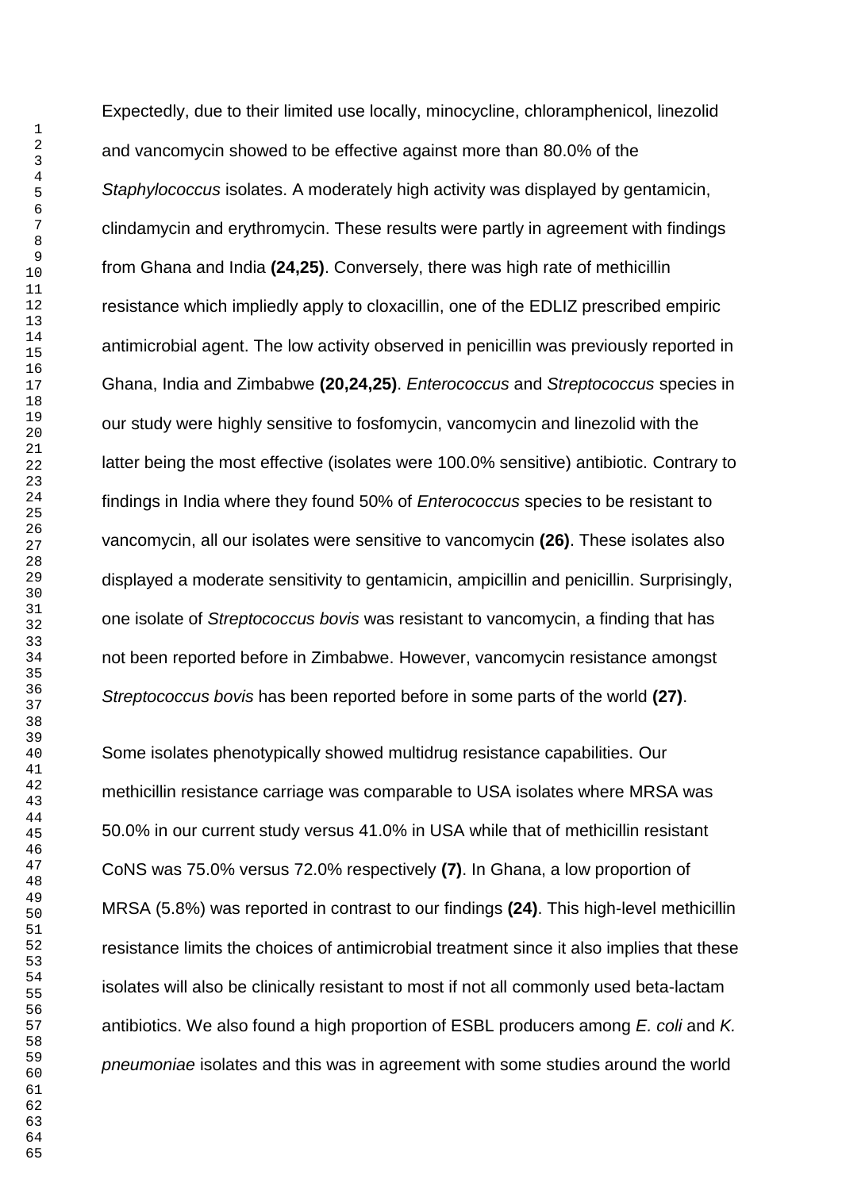Expectedly, due to their limited use locally, minocycline, chloramphenicol, linezolid and vancomycin showed to be effective against more than 80.0% of the *Staphylococcus* isolates. A moderately high activity was displayed by gentamicin, clindamycin and erythromycin. These results were partly in agreement with findings from Ghana and India **(24,25)**. Conversely, there was high rate of methicillin resistance which impliedly apply to cloxacillin, one of the EDLIZ prescribed empiric antimicrobial agent. The low activity observed in penicillin was previously reported in Ghana, India and Zimbabwe **(20,24,25)**. *Enterococcus* and *Streptococcus* species in our study were highly sensitive to fosfomycin, vancomycin and linezolid with the latter being the most effective (isolates were 100.0% sensitive) antibiotic. Contrary to findings in India where they found 50% of *Enterococcus* species to be resistant to vancomycin, all our isolates were sensitive to vancomycin **(26)**. These isolates also displayed a moderate sensitivity to gentamicin, ampicillin and penicillin. Surprisingly, one isolate of *Streptococcus bovis* was resistant to vancomycin, a finding that has not been reported before in Zimbabwe. However, vancomycin resistance amongst *Streptococcus bovis* has been reported before in some parts of the world **(27)**.

Some isolates phenotypically showed multidrug resistance capabilities. Our methicillin resistance carriage was comparable to USA isolates where MRSA was 50.0% in our current study versus 41.0% in USA while that of methicillin resistant CoNS was 75.0% versus 72.0% respectively **(7)**. In Ghana, a low proportion of MRSA (5.8%) was reported in contrast to our findings **(24)**. This high-level methicillin resistance limits the choices of antimicrobial treatment since it also implies that these isolates will also be clinically resistant to most if not all commonly used beta-lactam antibiotics. We also found a high proportion of ESBL producers among *E. coli* and *K. pneumoniae* isolates and this was in agreement with some studies around the world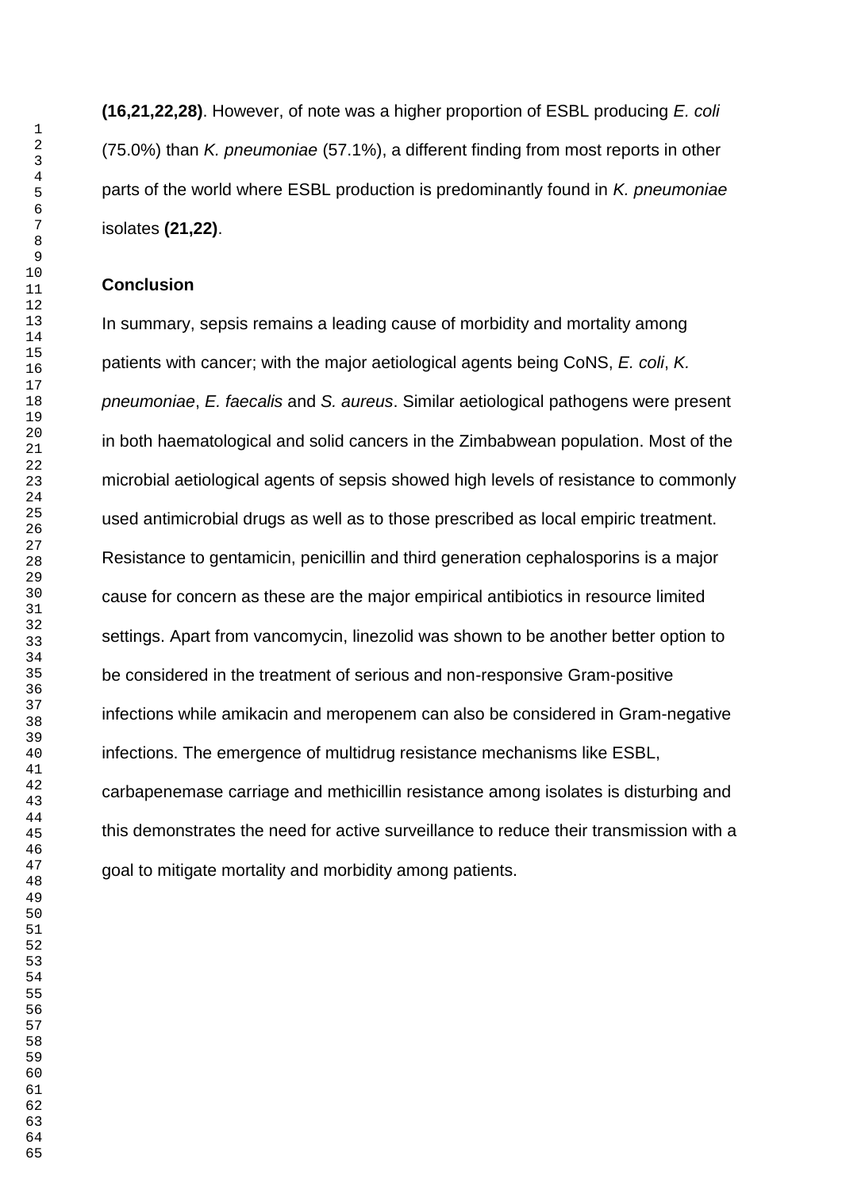### **Conclusion**

In summary, sepsis remains a leading cause of morbidity and mortality among patients with cancer; with the major aetiological agents being CoNS, *E. coli*, *K. pneumoniae*, *E. faecalis* and *S. aureus*. Similar aetiological pathogens were present in both haematological and solid cancers in the Zimbabwean population. Most of the microbial aetiological agents of sepsis showed high levels of resistance to commonly used antimicrobial drugs as well as to those prescribed as local empiric treatment. Resistance to gentamicin, penicillin and third generation cephalosporins is a major cause for concern as these are the major empirical antibiotics in resource limited settings. Apart from vancomycin, linezolid was shown to be another better option to be considered in the treatment of serious and non-responsive Gram-positive infections while amikacin and meropenem can also be considered in Gram-negative infections. The emergence of multidrug resistance mechanisms like ESBL, carbapenemase carriage and methicillin resistance among isolates is disturbing and this demonstrates the need for active surveillance to reduce their transmission with a goal to mitigate mortality and morbidity among patients.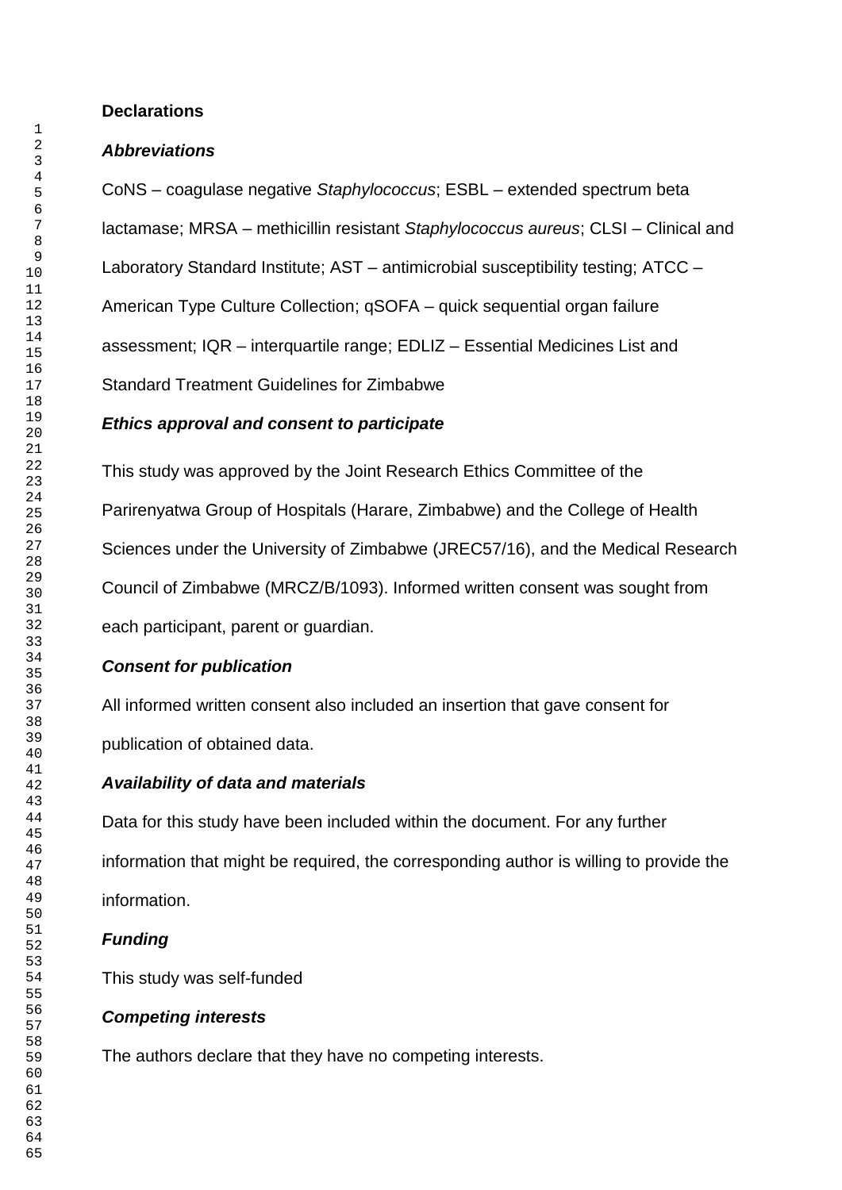## **Declarations**

## *Abbreviations*

CoNS – coagulase negative *Staphylococcus*; ESBL – extended spectrum beta lactamase; MRSA – methicillin resistant *Staphylococcus aureus*; CLSI – Clinical and Laboratory Standard Institute; AST – antimicrobial susceptibility testing; ATCC – American Type Culture Collection; qSOFA – quick sequential organ failure assessment; IQR – interquartile range; EDLIZ – Essential Medicines List and Standard Treatment Guidelines for Zimbabwe

## *Ethics approval and consent to participate*

This study was approved by the Joint Research Ethics Committee of the Parirenyatwa Group of Hospitals (Harare, Zimbabwe) and the College of Health Sciences under the University of Zimbabwe (JREC57/16), and the Medical Research Council of Zimbabwe (MRCZ/B/1093). Informed written consent was sought from each participant, parent or guardian.

# *Consent for publication*

All informed written consent also included an insertion that gave consent for publication of obtained data.

# *Availability of data and materials*

Data for this study have been included within the document. For any further information that might be required, the corresponding author is willing to provide the information.

# *Funding*

This study was self-funded

# *Competing interests*

The authors declare that they have no competing interests.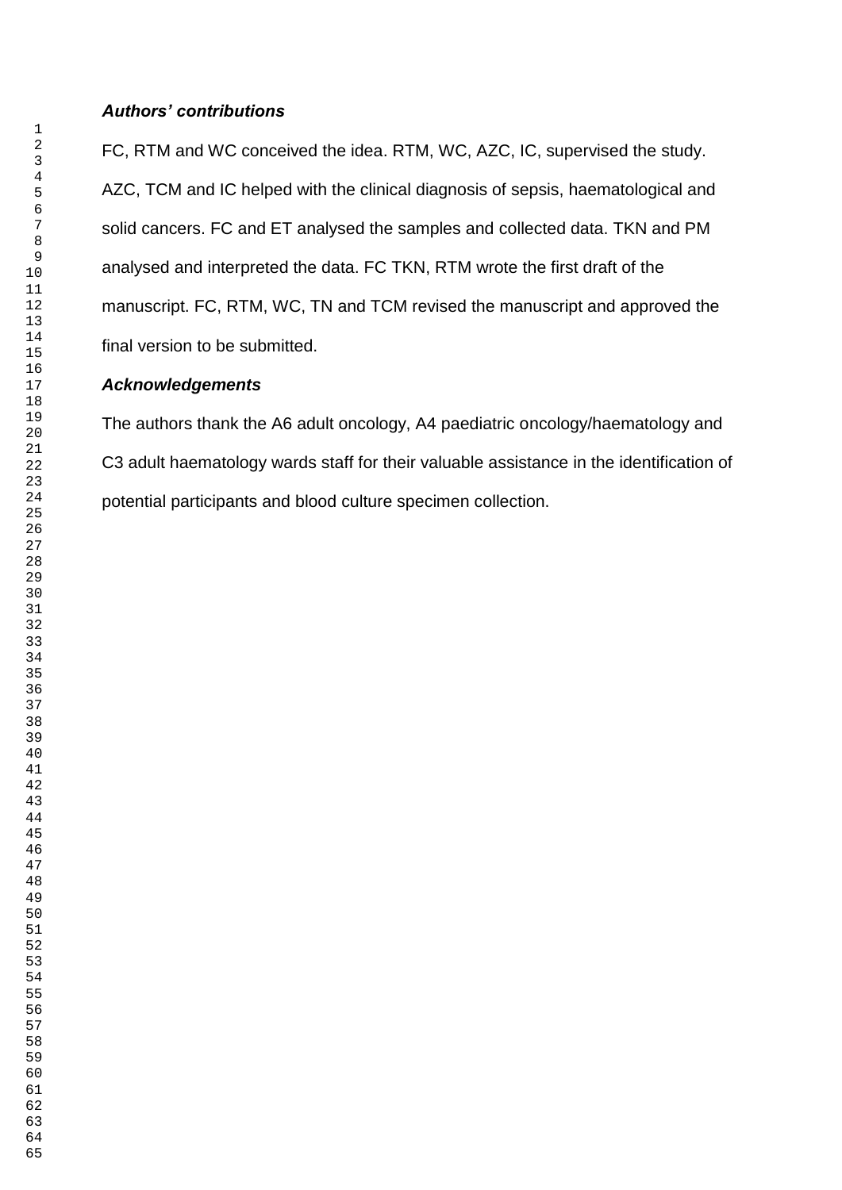## *Authors' contributions*

FC, RTM and WC conceived the idea. RTM, WC, AZC, IC, supervised the study. AZC, TCM and IC helped with the clinical diagnosis of sepsis, haematological and solid cancers. FC and ET analysed the samples and collected data. TKN and PM analysed and interpreted the data. FC TKN, RTM wrote the first draft of the manuscript. FC, RTM, WC, TN and TCM revised the manuscript and approved the final version to be submitted.

## *Acknowledgements*

The authors thank the A6 adult oncology, A4 paediatric oncology/haematology and C3 adult haematology wards staff for their valuable assistance in the identification of potential participants and blood culture specimen collection.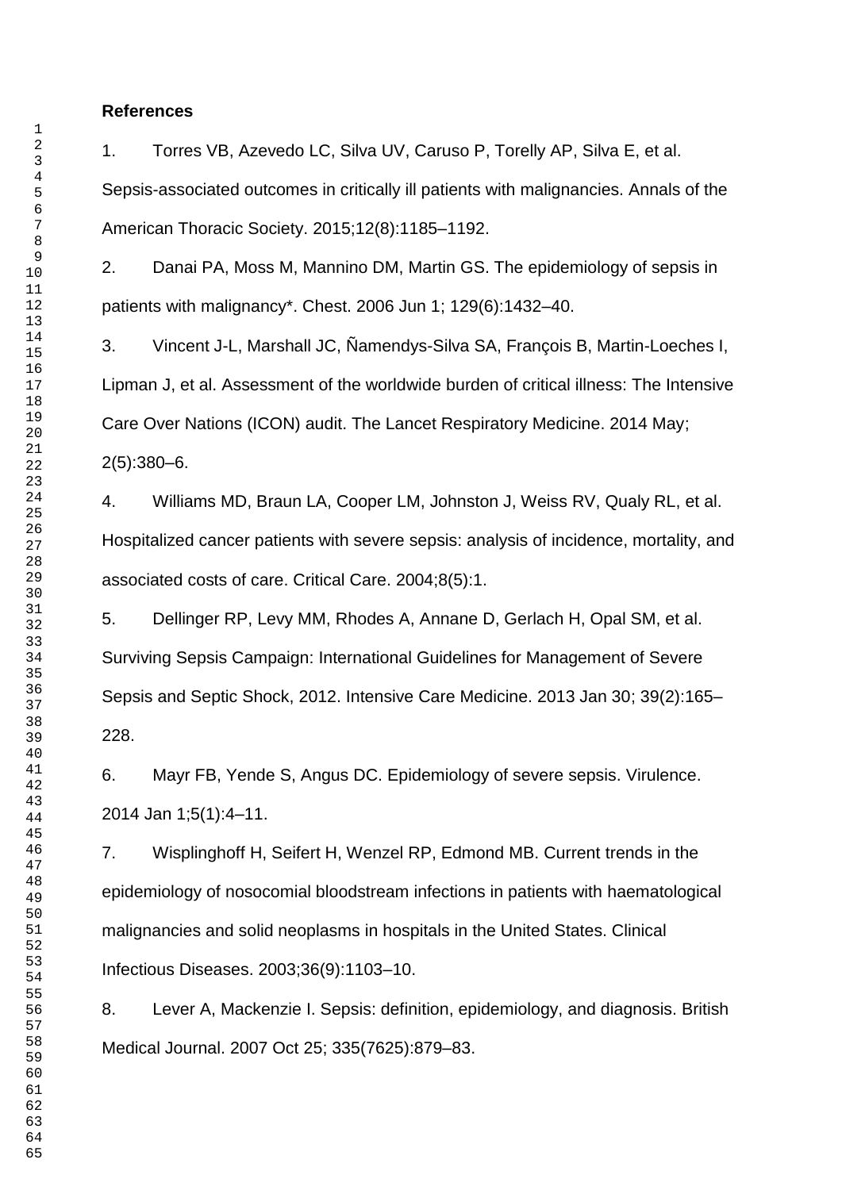### **References**

1. Torres VB, Azevedo LC, Silva UV, Caruso P, Torelly AP, Silva E, et al. Sepsis-associated outcomes in critically ill patients with malignancies. Annals of the American Thoracic Society. 2015;12(8):1185–1192.

2. Danai PA, Moss M, Mannino DM, Martin GS. The epidemiology of sepsis in patients with malignancy\*. Chest. 2006 Jun 1; 129(6):1432–40.

3. Vincent J-L, Marshall JC, Ñamendys-Silva SA, François B, Martin-Loeches I, Lipman J, et al. Assessment of the worldwide burden of critical illness: The Intensive Care Over Nations (ICON) audit. The Lancet Respiratory Medicine. 2014 May; 2(5):380–6.

4. Williams MD, Braun LA, Cooper LM, Johnston J, Weiss RV, Qualy RL, et al. Hospitalized cancer patients with severe sepsis: analysis of incidence, mortality, and associated costs of care. Critical Care. 2004;8(5):1.

5. Dellinger RP, Levy MM, Rhodes A, Annane D, Gerlach H, Opal SM, et al. Surviving Sepsis Campaign: International Guidelines for Management of Severe Sepsis and Septic Shock, 2012. Intensive Care Medicine. 2013 Jan 30; 39(2):165– 228.

6. Mayr FB, Yende S, Angus DC. Epidemiology of severe sepsis. Virulence. 2014 Jan 1;5(1):4–11.

7. Wisplinghoff H, Seifert H, Wenzel RP, Edmond MB. Current trends in the epidemiology of nosocomial bloodstream infections in patients with haematological malignancies and solid neoplasms in hospitals in the United States. Clinical Infectious Diseases. 2003;36(9):1103–10.

8. Lever A, Mackenzie I. Sepsis: definition, epidemiology, and diagnosis. British Medical Journal. 2007 Oct 25; 335(7625):879–83.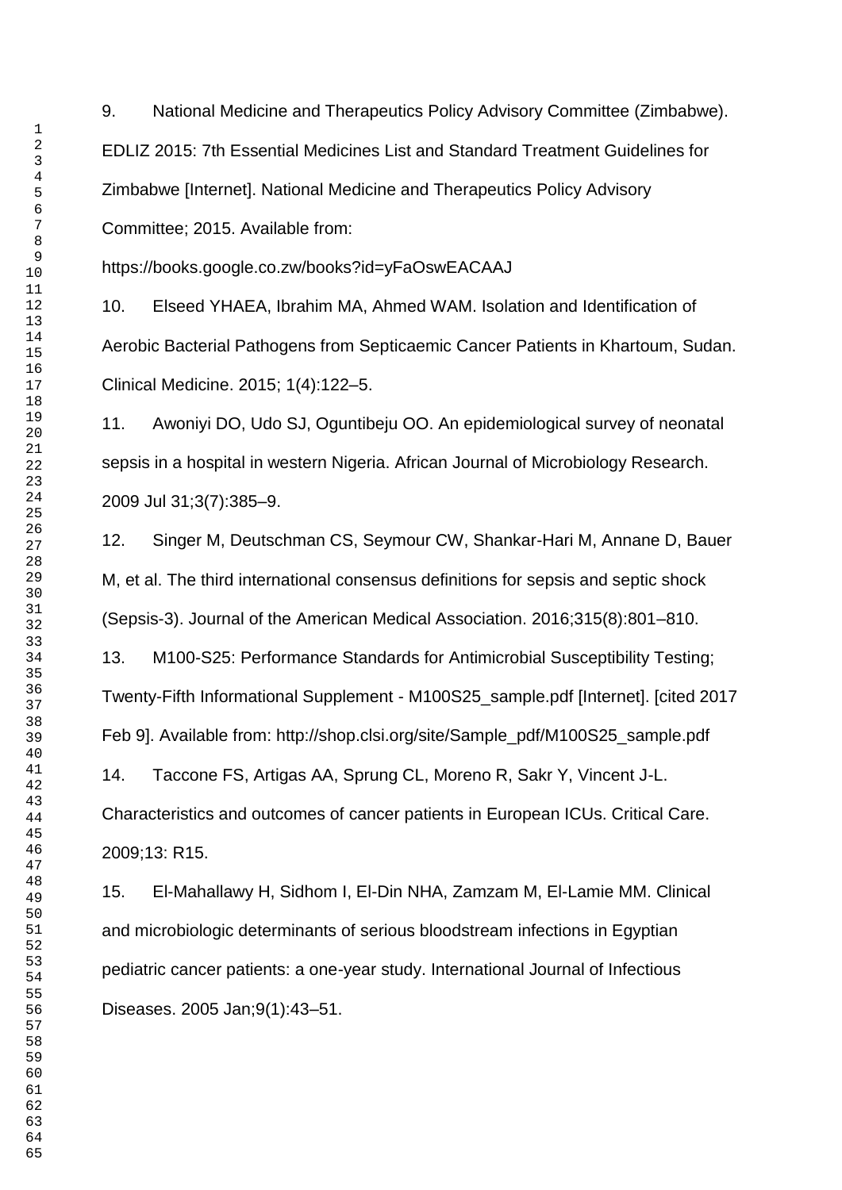9. National Medicine and Therapeutics Policy Advisory Committee (Zimbabwe). EDLIZ 2015: 7th Essential Medicines List and Standard Treatment Guidelines for Zimbabwe [Internet]. National Medicine and Therapeutics Policy Advisory Committee; 2015. Available from:

https://books.google.co.zw/books?id=yFaOswEACAAJ

10. Elseed YHAEA, Ibrahim MA, Ahmed WAM. Isolation and Identification of Aerobic Bacterial Pathogens from Septicaemic Cancer Patients in Khartoum, Sudan. Clinical Medicine. 2015; 1(4):122–5.

11. Awoniyi DO, Udo SJ, Oguntibeju OO. An epidemiological survey of neonatal sepsis in a hospital in western Nigeria. African Journal of Microbiology Research. 2009 Jul 31;3(7):385–9.

12. Singer M, Deutschman CS, Seymour CW, Shankar-Hari M, Annane D, Bauer M, et al. The third international consensus definitions for sepsis and septic shock (Sepsis-3). Journal of the American Medical Association. 2016;315(8):801–810.

13. M100-S25: Performance Standards for Antimicrobial Susceptibility Testing; Twenty-Fifth Informational Supplement - M100S25\_sample.pdf [Internet]. [cited 2017 Feb 9]. Available from: http://shop.clsi.org/site/Sample\_pdf/M100S25\_sample.pdf

14. Taccone FS, Artigas AA, Sprung CL, Moreno R, Sakr Y, Vincent J-L. Characteristics and outcomes of cancer patients in European ICUs. Critical Care. 2009;13: R15.

15. El-Mahallawy H, Sidhom I, El-Din NHA, Zamzam M, El-Lamie MM. Clinical and microbiologic determinants of serious bloodstream infections in Egyptian pediatric cancer patients: a one-year study. International Journal of Infectious Diseases. 2005 Jan;9(1):43–51.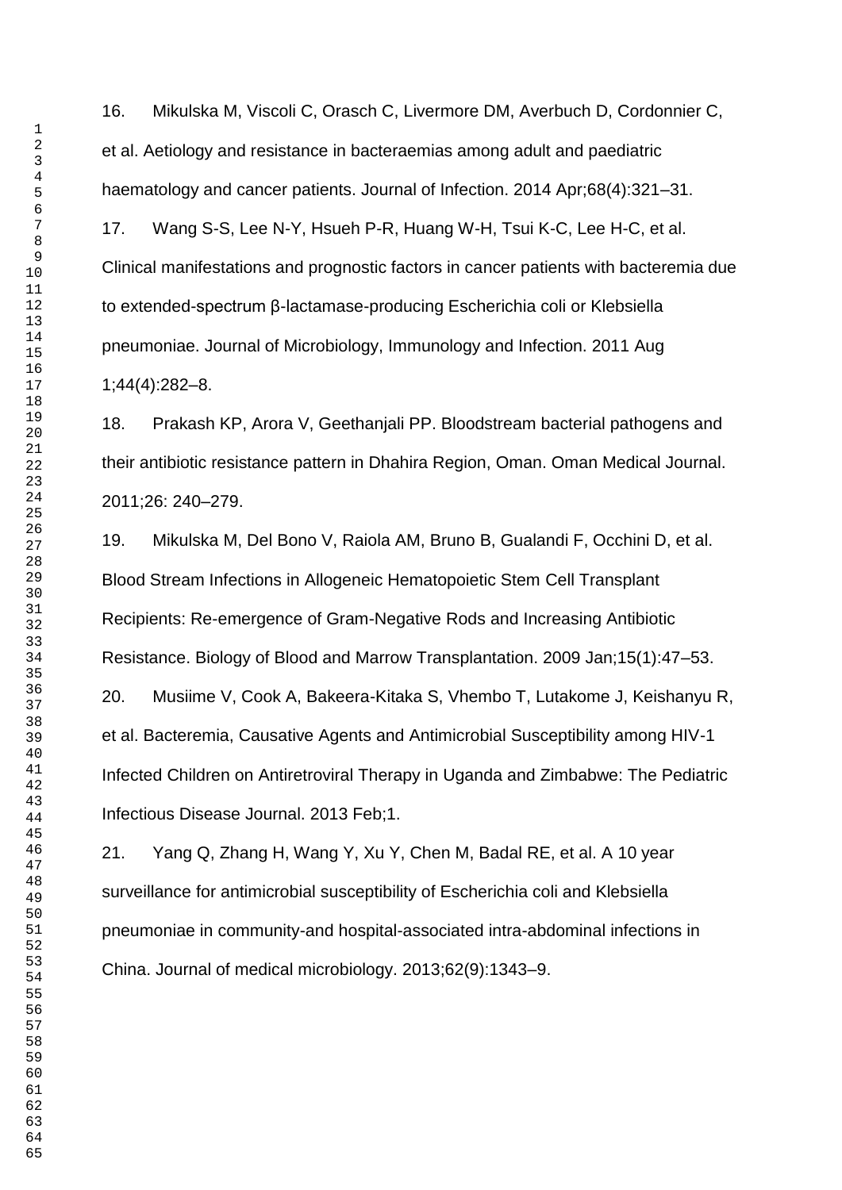16. Mikulska M, Viscoli C, Orasch C, Livermore DM, Averbuch D, Cordonnier C, et al. Aetiology and resistance in bacteraemias among adult and paediatric haematology and cancer patients. Journal of Infection. 2014 Apr;68(4):321-31.

17. Wang S-S, Lee N-Y, Hsueh P-R, Huang W-H, Tsui K-C, Lee H-C, et al. Clinical manifestations and prognostic factors in cancer patients with bacteremia due to extended-spectrum β-lactamase-producing Escherichia coli or Klebsiella pneumoniae. Journal of Microbiology, Immunology and Infection. 2011 Aug 1;44(4):282–8.

18. Prakash KP, Arora V, Geethanjali PP. Bloodstream bacterial pathogens and their antibiotic resistance pattern in Dhahira Region, Oman. Oman Medical Journal. 2011;26: 240–279.

19. Mikulska M, Del Bono V, Raiola AM, Bruno B, Gualandi F, Occhini D, et al. Blood Stream Infections in Allogeneic Hematopoietic Stem Cell Transplant Recipients: Re-emergence of Gram-Negative Rods and Increasing Antibiotic Resistance. Biology of Blood and Marrow Transplantation. 2009 Jan;15(1):47–53. 20. Musiime V, Cook A, Bakeera-Kitaka S, Vhembo T, Lutakome J, Keishanyu R, et al. Bacteremia, Causative Agents and Antimicrobial Susceptibility among HIV-1 Infected Children on Antiretroviral Therapy in Uganda and Zimbabwe: The Pediatric

Infectious Disease Journal. 2013 Feb;1.

21. Yang Q, Zhang H, Wang Y, Xu Y, Chen M, Badal RE, et al. A 10 year surveillance for antimicrobial susceptibility of Escherichia coli and Klebsiella pneumoniae in community-and hospital-associated intra-abdominal infections in China. Journal of medical microbiology. 2013;62(9):1343–9.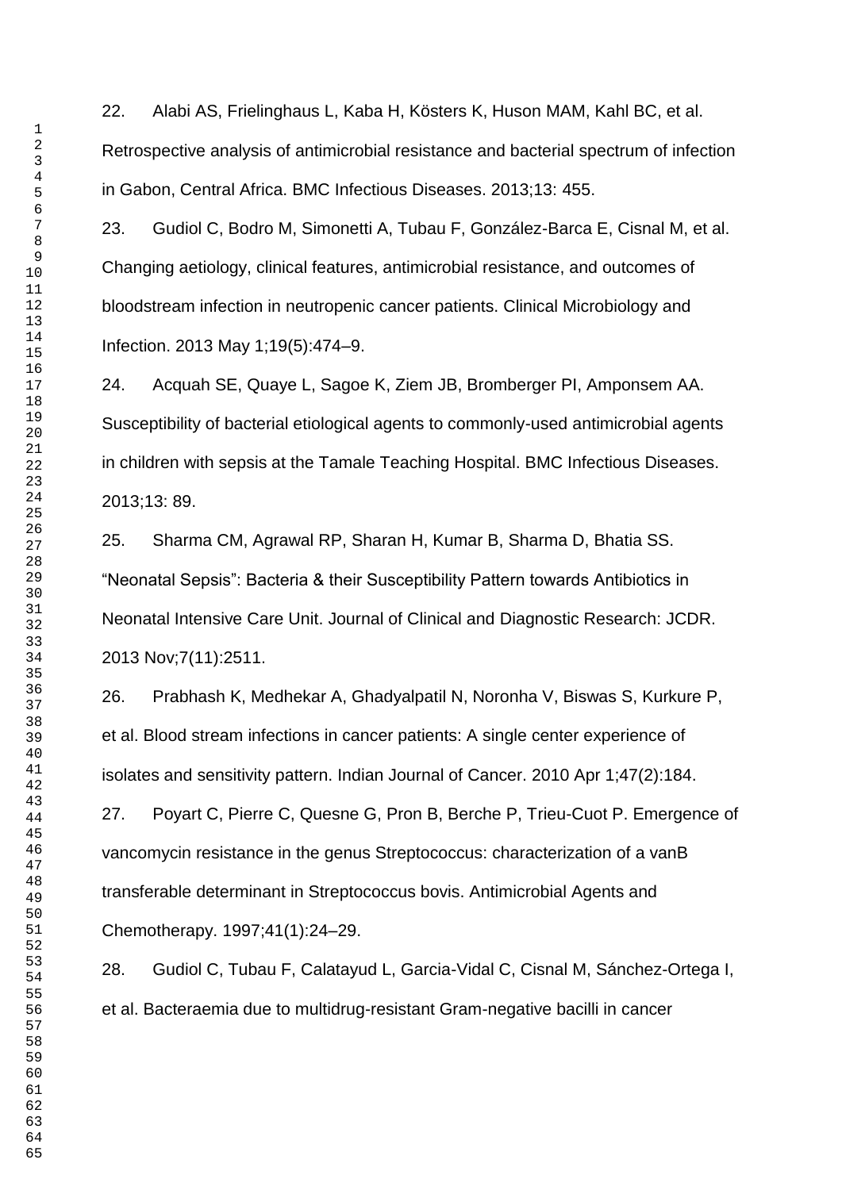22. Alabi AS, Frielinghaus L, Kaba H, Kösters K, Huson MAM, Kahl BC, et al. Retrospective analysis of antimicrobial resistance and bacterial spectrum of infection in Gabon, Central Africa. BMC Infectious Diseases. 2013;13: 455.

23. Gudiol C, Bodro M, Simonetti A, Tubau F, González-Barca E, Cisnal M, et al. Changing aetiology, clinical features, antimicrobial resistance, and outcomes of bloodstream infection in neutropenic cancer patients. Clinical Microbiology and Infection. 2013 May 1;19(5):474–9.

24. Acquah SE, Quaye L, Sagoe K, Ziem JB, Bromberger PI, Amponsem AA. Susceptibility of bacterial etiological agents to commonly-used antimicrobial agents in children with sepsis at the Tamale Teaching Hospital. BMC Infectious Diseases. 2013;13: 89.

25. Sharma CM, Agrawal RP, Sharan H, Kumar B, Sharma D, Bhatia SS. "Neonatal Sepsis": Bacteria & their Susceptibility Pattern towards Antibiotics in Neonatal Intensive Care Unit. Journal of Clinical and Diagnostic Research: JCDR. 2013 Nov;7(11):2511.

26. Prabhash K, Medhekar A, Ghadyalpatil N, Noronha V, Biswas S, Kurkure P, et al. Blood stream infections in cancer patients: A single center experience of isolates and sensitivity pattern. Indian Journal of Cancer. 2010 Apr 1;47(2):184.

27. Poyart C, Pierre C, Quesne G, Pron B, Berche P, Trieu-Cuot P. Emergence of vancomycin resistance in the genus Streptococcus: characterization of a vanB transferable determinant in Streptococcus bovis. Antimicrobial Agents and Chemotherapy. 1997;41(1):24–29.

28. Gudiol C, Tubau F, Calatayud L, Garcia-Vidal C, Cisnal M, Sánchez-Ortega I, et al. Bacteraemia due to multidrug-resistant Gram-negative bacilli in cancer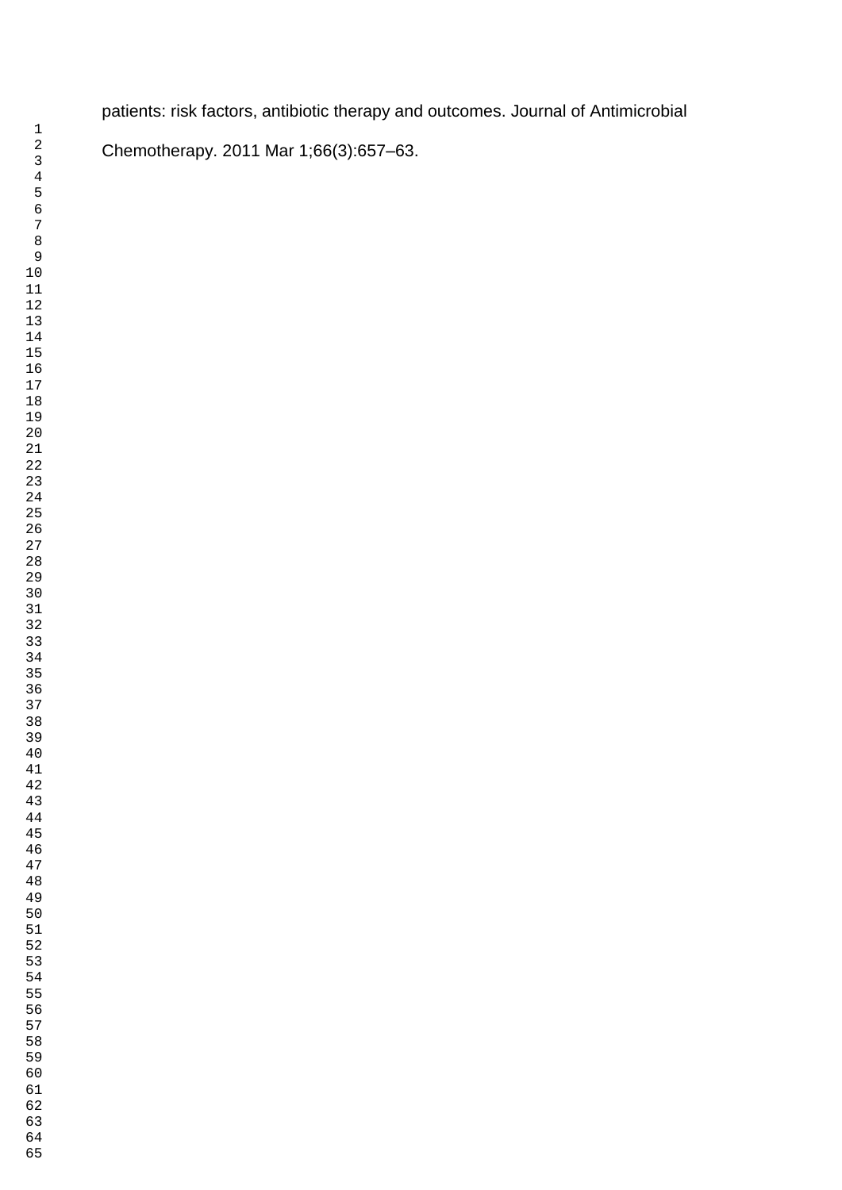patients: risk factors, antibiotic therapy and outcomes. Journal of Antimicrobial

Chemotherapy. 2011 Mar 1;66(3):657–63.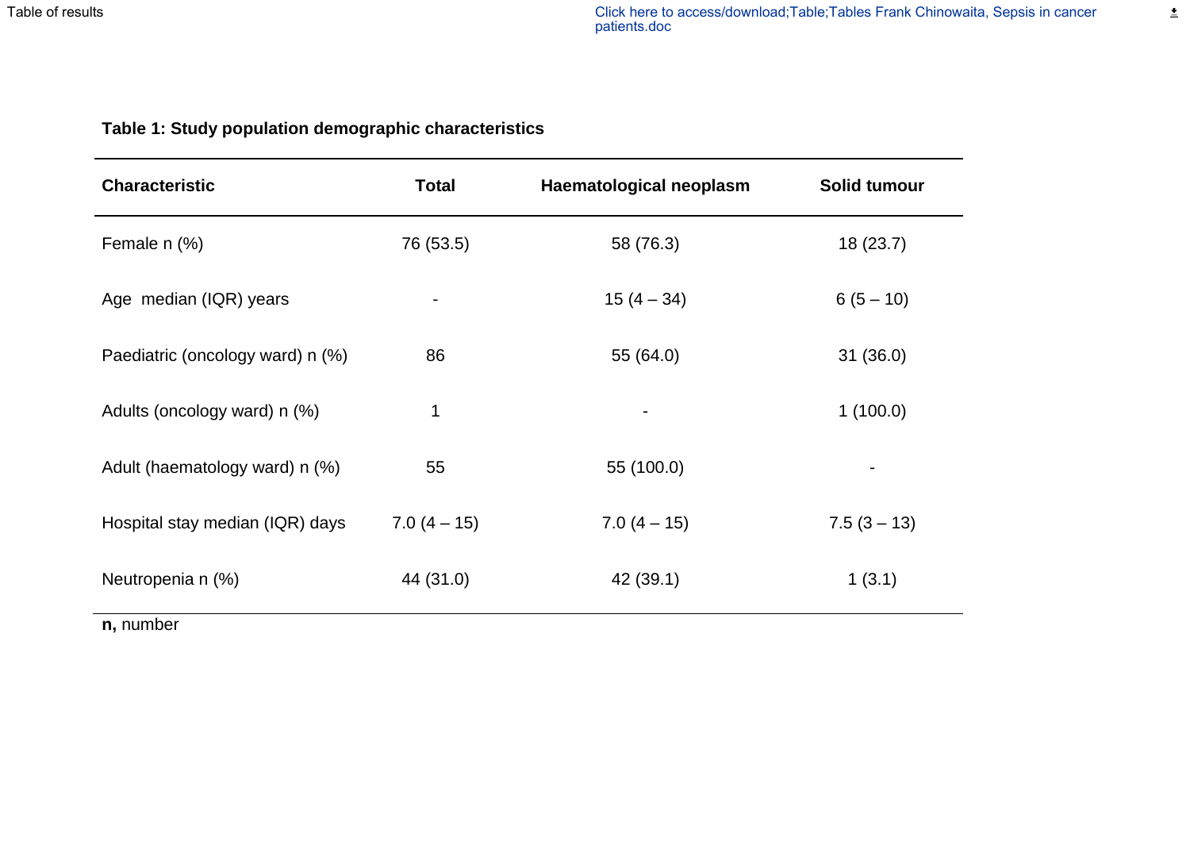# **Table 1: Study population demographic characteristics**

| <b>Characteristic</b>            | <b>Total</b>   | Haematological neoplasm | Solid tumour   |
|----------------------------------|----------------|-------------------------|----------------|
| Female n (%)                     | 76 (53.5)      | 58 (76.3)               | 18(23.7)       |
| Age median (IQR) years           | $\blacksquare$ | $15(4 - 34)$            | $6(5 - 10)$    |
| Paediatric (oncology ward) n (%) | 86             | 55 (64.0)               | 31(36.0)       |
| Adults (oncology ward) n (%)     | 1              |                         | 1(100.0)       |
| Adult (haematology ward) n (%)   | 55             | 55 (100.0)              | $\blacksquare$ |
| Hospital stay median (IQR) days  | $7.0(4-15)$    | $7.0(4-15)$             | $7.5(3 - 13)$  |
| Neutropenia n (%)                | 44 (31.0)      | 42 (39.1)               | 1(3.1)         |

**n,** number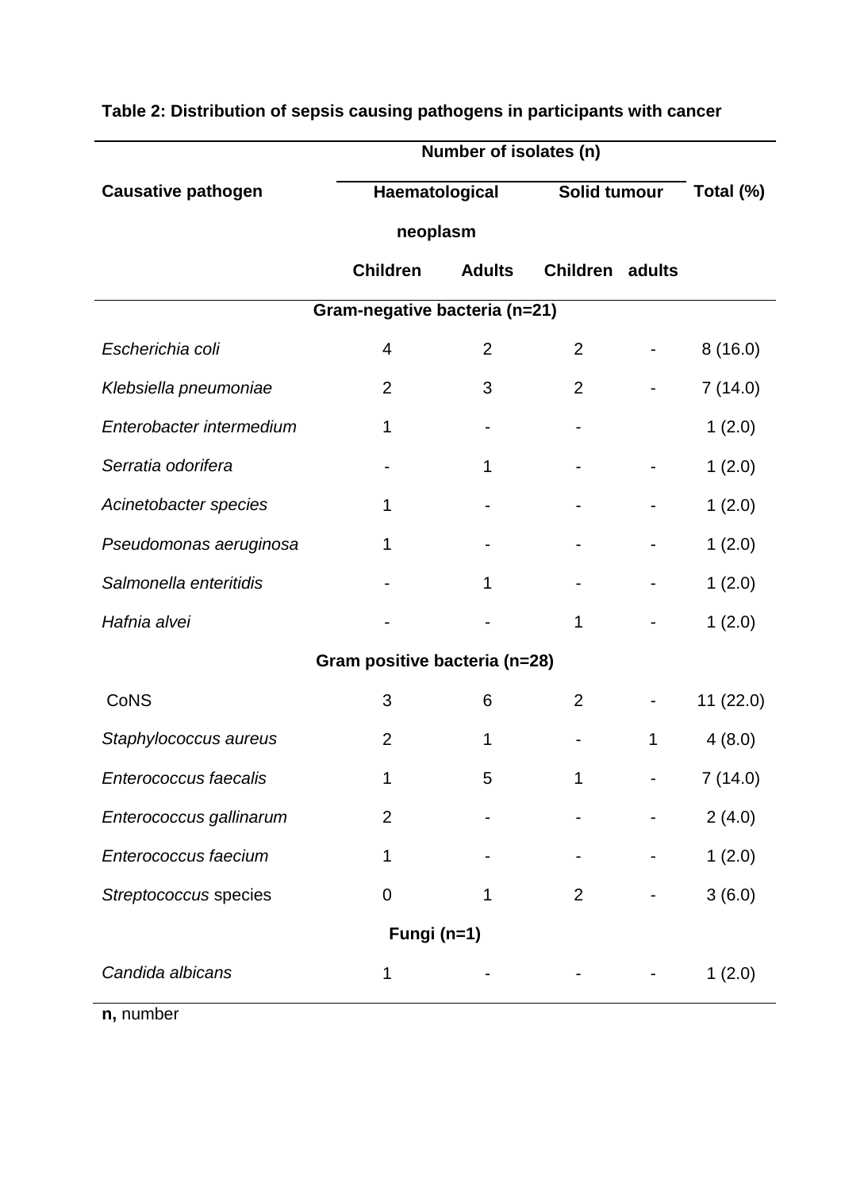|                               | Number of isolates (n)                                     |   |                |           |          |  |  |  |  |
|-------------------------------|------------------------------------------------------------|---|----------------|-----------|----------|--|--|--|--|
| <b>Causative pathogen</b>     | Haematological                                             |   | Solid tumour   | Total (%) |          |  |  |  |  |
|                               | neoplasm                                                   |   |                |           |          |  |  |  |  |
|                               | <b>Children</b><br><b>Adults</b><br><b>Children</b> adults |   |                |           |          |  |  |  |  |
| Gram-negative bacteria (n=21) |                                                            |   |                |           |          |  |  |  |  |
| Escherichia coli              | 4                                                          | 2 | 2              |           | 8(16.0)  |  |  |  |  |
| Klebsiella pneumoniae         | $\overline{2}$                                             | 3 | $\overline{2}$ |           | 7(14.0)  |  |  |  |  |
| Enterobacter intermedium      | 1                                                          |   |                |           | 1(2.0)   |  |  |  |  |
| Serratia odorifera            |                                                            | 1 |                |           | 1(2.0)   |  |  |  |  |
| Acinetobacter species         | 1                                                          |   |                |           | 1(2.0)   |  |  |  |  |
| Pseudomonas aeruginosa        | 1                                                          |   |                |           | 1(2.0)   |  |  |  |  |
| Salmonella enteritidis        |                                                            | 1 |                |           | 1(2.0)   |  |  |  |  |
| Hafnia alvei                  |                                                            |   | 1              |           | 1(2.0)   |  |  |  |  |
|                               | Gram positive bacteria (n=28)                              |   |                |           |          |  |  |  |  |
| <b>CoNS</b>                   | 3                                                          | 6 | $\overline{2}$ |           | 11(22.0) |  |  |  |  |
| Staphylococcus aureus         | $\overline{2}$                                             | 1 |                | 1         | 4(8.0)   |  |  |  |  |
| Enterococcus faecalis         | 1                                                          | 5 |                |           | 7(14.0)  |  |  |  |  |
| Enterococcus gallinarum       | $\overline{2}$                                             |   |                |           | 2(4.0)   |  |  |  |  |
| Enterococcus faecium          | 1                                                          |   |                |           | 1(2.0)   |  |  |  |  |
| Streptococcus species         | 0                                                          |   | $\overline{2}$ |           | 3(6.0)   |  |  |  |  |
|                               | Fungi (n=1)                                                |   |                |           |          |  |  |  |  |
| Candida albicans              | 1                                                          |   |                |           | 1(2.0)   |  |  |  |  |

# **Table 2: Distribution of sepsis causing pathogens in participants with cancer**

**n,** number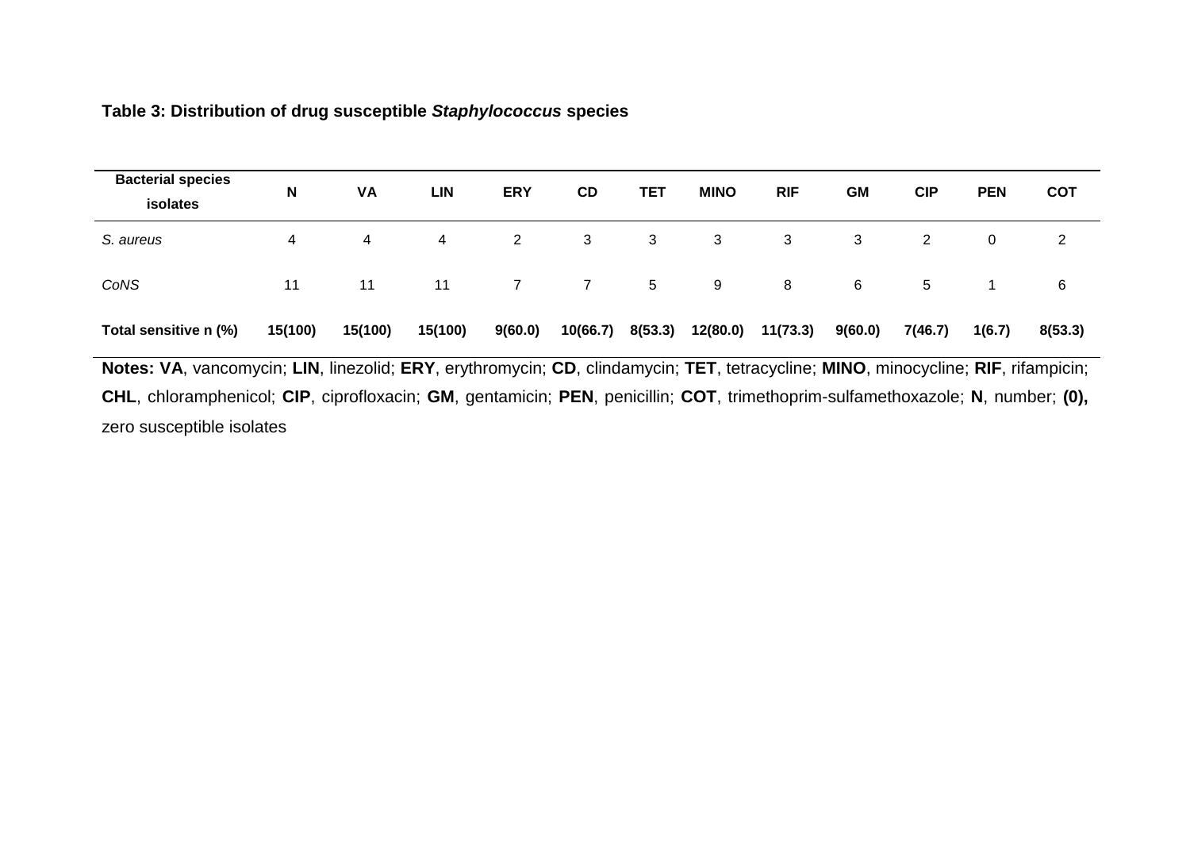# **Table 3: Distribution of drug susceptible** *Staphylococcus* **species**

| <b>Bacterial species</b><br>isolates                                                                                    | N       | VA      | <b>LIN</b> | <b>ERY</b> | CD       | TET     | <b>MINO</b> | <b>RIF</b> | <b>GM</b> | <b>CIP</b> | <b>PEN</b> | <b>COT</b> |
|-------------------------------------------------------------------------------------------------------------------------|---------|---------|------------|------------|----------|---------|-------------|------------|-----------|------------|------------|------------|
| S. aureus                                                                                                               | 4       | 4       | 4          | 2          | 3        | 3       | 3           | 3          | 3         | 2          | 0          | 2          |
| CoNS                                                                                                                    | 11      | 11      | 11         |            |          | 5       | 9           | 8          | 6         | 5          |            | 6          |
| Total sensitive n (%)                                                                                                   | 15(100) | 15(100) | 15(100)    | 9(60.0)    | 10(66.7) | 8(53.3) | 12(80.0)    | 11(73.3)   | 9(60.0)   | 7(46.7)    | 1(6.7)     | 8(53.3)    |
| Notes VA vancomvoin: UN linezolid: EDV enthromvoin: CD elindemvoin: TET totroqualine: MINO minoqualine: DIE rifempioin: |         |         |            |            |          |         |             |            |           |            |            |            |

**Notes: VA**, vancomycin; **LIN**, linezolid; **ERY**, erythromycin; **CD**, clindamycin; **TET**, tetracycline; **MINO**, minocycline; **RIF**, rifampicin; **CHL**, chloramphenicol; **CIP**, ciprofloxacin; **GM**, gentamicin; **PEN**, penicillin; **COT**, trimethoprim-sulfamethoxazole; **N**, number; **(0),** zero susceptible isolates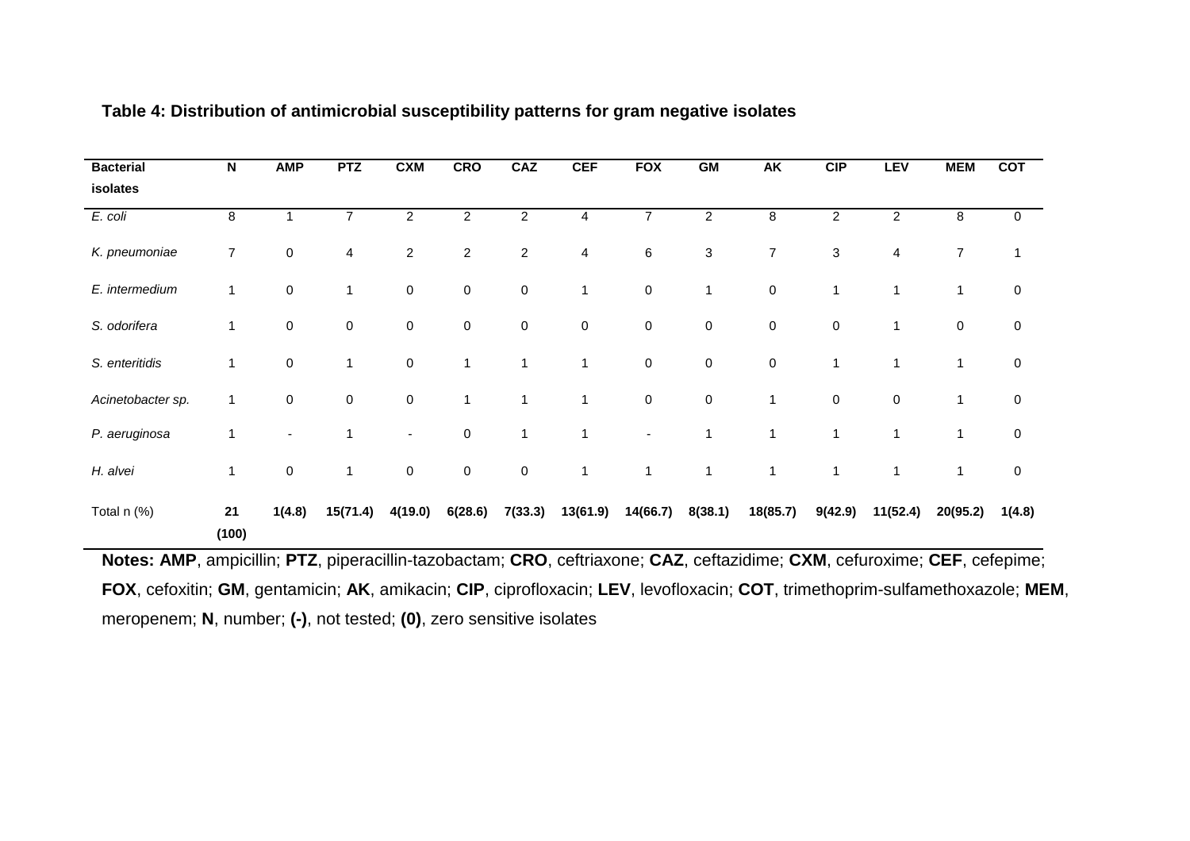| <b>Bacterial</b>  | N              | <b>AMP</b> | <b>PTZ</b>     | <b>CXM</b>     | <b>CRO</b>              | CAZ            | <b>CEF</b>   | <b>FOX</b>       | GM             | AK           | <b>CIP</b>                | <b>LEV</b>     | <b>MEM</b>     | <b>COT</b> |
|-------------------|----------------|------------|----------------|----------------|-------------------------|----------------|--------------|------------------|----------------|--------------|---------------------------|----------------|----------------|------------|
| isolates          |                |            |                |                |                         |                |              |                  |                |              |                           |                |                |            |
| E. coli           | 8              |            | 7              | $\overline{c}$ | $\overline{\mathbf{c}}$ | $\overline{c}$ | 4            | $\overline{7}$   | $\overline{2}$ | 8            | $\overline{c}$            | $\overline{c}$ | 8              | 0          |
| K. pneumoniae     | $\overline{7}$ | $\pmb{0}$  | $\overline{4}$ | $\sqrt{2}$     | $\overline{2}$          | $\overline{c}$ | 4            | $\,6\,$          | $\sqrt{3}$     | 7            | $\ensuremath{\mathsf{3}}$ | 4              | $\overline{7}$ | 1          |
| E. intermedium    | 1              | $\pmb{0}$  | $\mathbf{1}$   | $\pmb{0}$      | $\pmb{0}$               | $\mathbf 0$    | $\mathbf{1}$ | $\mathbf 0$      | 1              | 0            | 1                         | 1              | $\mathbf{1}$   | $\pmb{0}$  |
| S. odorifera      | 1              | $\pmb{0}$  | $\mathbf 0$    | $\pmb{0}$      | $\pmb{0}$               | $\pmb{0}$      | $\pmb{0}$    | $\pmb{0}$        | $\pmb{0}$      | 0            | $\pmb{0}$                 | 1              | $\pmb{0}$      | $\pmb{0}$  |
| S. enteritidis    | 1              | $\pmb{0}$  | $\mathbf{1}$   | $\pmb{0}$      | $\mathbf{1}$            | $\mathbf{1}$   | 1            | $\boldsymbol{0}$ | $\pmb{0}$      | 0            | 1                         | 1              | 1              | $\pmb{0}$  |
| Acinetobacter sp. | 1              | $\pmb{0}$  | $\mathbf 0$    | $\pmb{0}$      | 1                       | 1              | 1            | $\pmb{0}$        | $\pmb{0}$      | 1            | $\pmb{0}$                 | $\pmb{0}$      | 1              | $\pmb{0}$  |
| P. aeruginosa     | 1              | ٠          | 1              | $\blacksquare$ | $\pmb{0}$               | 1              | 1            | $\blacksquare$   | 1              | $\mathbf 1$  | 1                         | 1              | 1              | $\pmb{0}$  |
| H. alvei          | 1              | $\pmb{0}$  | $\mathbf{1}$   | $\pmb{0}$      | $\boldsymbol{0}$        | $\mathbf 0$    | 1            | $\mathbf 1$      | $\mathbf{1}$   | $\mathbf{1}$ | $\mathbf 1$               | 1              | $\mathbf{1}$   | $\pmb{0}$  |
| Total n (%)       | 21<br>(100)    | 1(4.8)     | 15(71.4)       | 4(19.0)        | 6(28.6)                 | 7(33.3)        | 13(61.9)     | 14(66.7)         | 8(38.1)        | 18(85.7)     | 9(42.9)                   | 11(52.4)       | 20(95.2)       | 1(4.8)     |

## **Table 4: Distribution of antimicrobial susceptibility patterns for gram negative isolates**

**Notes: AMP**, ampicillin; **PTZ**, piperacillin-tazobactam; **CRO**, ceftriaxone; **CAZ**, ceftazidime; **CXM**, cefuroxime; **CEF**, cefepime; **FOX**, cefoxitin; **GM**, gentamicin; **AK**, amikacin; **CIP**, ciprofloxacin; **LEV**, levofloxacin; **COT**, trimethoprim-sulfamethoxazole; **MEM**, meropenem; **N**, number; **(-)**, not tested; **(0)**, zero sensitive isolates